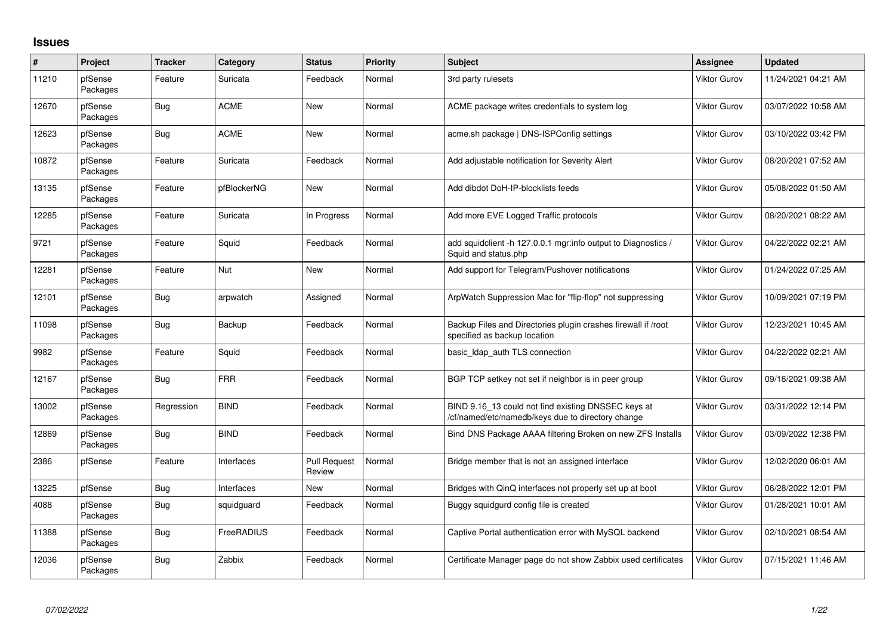## **Issues**

| $\sharp$ | Project             | <b>Tracker</b> | Category    | <b>Status</b>                 | <b>Priority</b> | <b>Subject</b>                                                                                           | <b>Assignee</b>     | <b>Updated</b>      |
|----------|---------------------|----------------|-------------|-------------------------------|-----------------|----------------------------------------------------------------------------------------------------------|---------------------|---------------------|
| 11210    | pfSense<br>Packages | Feature        | Suricata    | Feedback                      | Normal          | 3rd party rulesets                                                                                       | Viktor Gurov        | 11/24/2021 04:21 AM |
| 12670    | pfSense<br>Packages | Bug            | <b>ACME</b> | <b>New</b>                    | Normal          | ACME package writes credentials to system log                                                            | Viktor Gurov        | 03/07/2022 10:58 AM |
| 12623    | pfSense<br>Packages | Bug            | <b>ACME</b> | <b>New</b>                    | Normal          | acme.sh package   DNS-ISPConfig settings                                                                 | Viktor Gurov        | 03/10/2022 03:42 PM |
| 10872    | pfSense<br>Packages | Feature        | Suricata    | Feedback                      | Normal          | Add adjustable notification for Severity Alert                                                           | <b>Viktor Gurov</b> | 08/20/2021 07:52 AM |
| 13135    | pfSense<br>Packages | Feature        | pfBlockerNG | New                           | Normal          | Add dibdot DoH-IP-blocklists feeds                                                                       | <b>Viktor Gurov</b> | 05/08/2022 01:50 AM |
| 12285    | pfSense<br>Packages | Feature        | Suricata    | In Progress                   | Normal          | Add more EVE Logged Traffic protocols                                                                    | <b>Viktor Gurov</b> | 08/20/2021 08:22 AM |
| 9721     | pfSense<br>Packages | Feature        | Squid       | Feedback                      | Normal          | add squidclient -h 127.0.0.1 mgr:info output to Diagnostics /<br>Squid and status.php                    | <b>Viktor Gurov</b> | 04/22/2022 02:21 AM |
| 12281    | pfSense<br>Packages | Feature        | Nut         | New                           | Normal          | Add support for Telegram/Pushover notifications                                                          | <b>Viktor Gurov</b> | 01/24/2022 07:25 AM |
| 12101    | pfSense<br>Packages | Bug            | arpwatch    | Assigned                      | Normal          | ArpWatch Suppression Mac for "flip-flop" not suppressing                                                 | <b>Viktor Gurov</b> | 10/09/2021 07:19 PM |
| 11098    | pfSense<br>Packages | Bug            | Backup      | Feedback                      | Normal          | Backup Files and Directories plugin crashes firewall if /root<br>specified as backup location            | <b>Viktor Gurov</b> | 12/23/2021 10:45 AM |
| 9982     | pfSense<br>Packages | Feature        | Squid       | Feedback                      | Normal          | basic_Idap_auth TLS connection                                                                           | <b>Viktor Gurov</b> | 04/22/2022 02:21 AM |
| 12167    | pfSense<br>Packages | Bug            | <b>FRR</b>  | Feedback                      | Normal          | BGP TCP setkey not set if neighbor is in peer group                                                      | Viktor Gurov        | 09/16/2021 09:38 AM |
| 13002    | pfSense<br>Packages | Regression     | <b>BIND</b> | Feedback                      | Normal          | BIND 9.16_13 could not find existing DNSSEC keys at<br>/cf/named/etc/namedb/keys due to directory change | <b>Viktor Gurov</b> | 03/31/2022 12:14 PM |
| 12869    | pfSense<br>Packages | Bug            | <b>BIND</b> | Feedback                      | Normal          | Bind DNS Package AAAA filtering Broken on new ZFS Installs                                               | Viktor Gurov        | 03/09/2022 12:38 PM |
| 2386     | pfSense             | Feature        | Interfaces  | <b>Pull Request</b><br>Review | Normal          | Bridge member that is not an assigned interface                                                          | Viktor Gurov        | 12/02/2020 06:01 AM |
| 13225    | pfSense             | <b>Bug</b>     | Interfaces  | New                           | Normal          | Bridges with QinQ interfaces not properly set up at boot                                                 | Viktor Gurov        | 06/28/2022 12:01 PM |
| 4088     | pfSense<br>Packages | Bug            | squidguard  | Feedback                      | Normal          | Buggy squidgurd config file is created                                                                   | Viktor Gurov        | 01/28/2021 10:01 AM |
| 11388    | pfSense<br>Packages | Bug            | FreeRADIUS  | Feedback                      | Normal          | Captive Portal authentication error with MySQL backend                                                   | <b>Viktor Gurov</b> | 02/10/2021 08:54 AM |
| 12036    | pfSense<br>Packages | Bug            | Zabbix      | Feedback                      | Normal          | Certificate Manager page do not show Zabbix used certificates                                            | Viktor Gurov        | 07/15/2021 11:46 AM |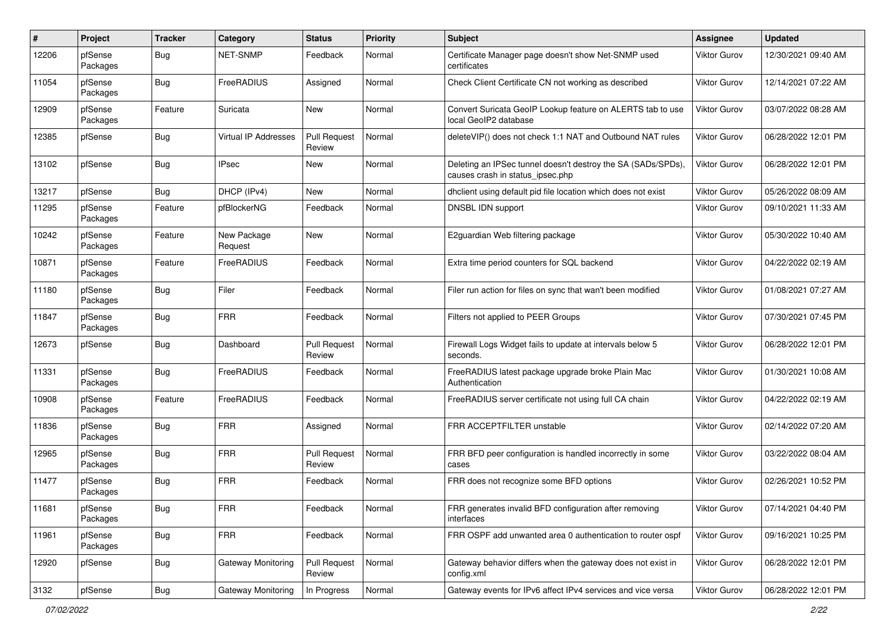| #     | Project             | <b>Tracker</b> | Category               | <b>Status</b>                 | <b>Priority</b> | Subject                                                                                          | Assignee            | <b>Updated</b>      |
|-------|---------------------|----------------|------------------------|-------------------------------|-----------------|--------------------------------------------------------------------------------------------------|---------------------|---------------------|
| 12206 | pfSense<br>Packages | Bug            | <b>NET-SNMP</b>        | Feedback                      | Normal          | Certificate Manager page doesn't show Net-SNMP used<br>certificates                              | Viktor Gurov        | 12/30/2021 09:40 AM |
| 11054 | pfSense<br>Packages | Bug            | <b>FreeRADIUS</b>      | Assigned                      | Normal          | Check Client Certificate CN not working as described                                             | Viktor Gurov        | 12/14/2021 07:22 AM |
| 12909 | pfSense<br>Packages | Feature        | Suricata               | New                           | Normal          | Convert Suricata GeoIP Lookup feature on ALERTS tab to use<br>local GeoIP2 database              | Viktor Gurov        | 03/07/2022 08:28 AM |
| 12385 | pfSense             | Bug            | Virtual IP Addresses   | <b>Pull Request</b><br>Review | Normal          | deleteVIP() does not check 1:1 NAT and Outbound NAT rules                                        | <b>Viktor Gurov</b> | 06/28/2022 12:01 PM |
| 13102 | pfSense             | Bug            | <b>IPsec</b>           | New                           | Normal          | Deleting an IPSec tunnel doesn't destroy the SA (SADs/SPDs),<br>causes crash in status_ipsec.php | <b>Viktor Gurov</b> | 06/28/2022 12:01 PM |
| 13217 | pfSense             | Bug            | DHCP (IPv4)            | New                           | Normal          | dhclient using default pid file location which does not exist                                    | <b>Viktor Gurov</b> | 05/26/2022 08:09 AM |
| 11295 | pfSense<br>Packages | Feature        | pfBlockerNG            | Feedback                      | Normal          | DNSBL IDN support                                                                                | Viktor Gurov        | 09/10/2021 11:33 AM |
| 10242 | pfSense<br>Packages | Feature        | New Package<br>Request | New                           | Normal          | E2guardian Web filtering package                                                                 | Viktor Gurov        | 05/30/2022 10:40 AM |
| 10871 | pfSense<br>Packages | Feature        | FreeRADIUS             | Feedback                      | Normal          | Extra time period counters for SQL backend                                                       | Viktor Gurov        | 04/22/2022 02:19 AM |
| 11180 | pfSense<br>Packages | Bug            | Filer                  | Feedback                      | Normal          | Filer run action for files on sync that wan't been modified                                      | Viktor Gurov        | 01/08/2021 07:27 AM |
| 11847 | pfSense<br>Packages | Bug            | <b>FRR</b>             | Feedback                      | Normal          | Filters not applied to PEER Groups                                                               | Viktor Gurov        | 07/30/2021 07:45 PM |
| 12673 | pfSense             | <b>Bug</b>     | Dashboard              | <b>Pull Request</b><br>Review | Normal          | Firewall Logs Widget fails to update at intervals below 5<br>seconds.                            | Viktor Gurov        | 06/28/2022 12:01 PM |
| 11331 | pfSense<br>Packages | <b>Bug</b>     | <b>FreeRADIUS</b>      | Feedback                      | Normal          | FreeRADIUS latest package upgrade broke Plain Mac<br>Authentication                              | Viktor Gurov        | 01/30/2021 10:08 AM |
| 10908 | pfSense<br>Packages | Feature        | <b>FreeRADIUS</b>      | Feedback                      | Normal          | FreeRADIUS server certificate not using full CA chain                                            | Viktor Gurov        | 04/22/2022 02:19 AM |
| 11836 | pfSense<br>Packages | Bug            | <b>FRR</b>             | Assigned                      | Normal          | FRR ACCEPTFILTER unstable                                                                        | Viktor Gurov        | 02/14/2022 07:20 AM |
| 12965 | pfSense<br>Packages | <b>Bug</b>     | <b>FRR</b>             | <b>Pull Request</b><br>Review | Normal          | FRR BFD peer configuration is handled incorrectly in some<br>cases                               | Viktor Gurov        | 03/22/2022 08:04 AM |
| 11477 | pfSense<br>Packages | Bug            | <b>FRR</b>             | Feedback                      | Normal          | FRR does not recognize some BFD options                                                          | Viktor Gurov        | 02/26/2021 10:52 PM |
| 11681 | pfSense<br>Packages | <b>Bug</b>     | <b>FRR</b>             | Feedback                      | Normal          | FRR generates invalid BFD configuration after removing<br>interfaces                             | Viktor Gurov        | 07/14/2021 04:40 PM |
| 11961 | pfSense<br>Packages | <b>Bug</b>     | <b>FRR</b>             | Feedback                      | Normal          | FRR OSPF add unwanted area 0 authentication to router ospf                                       | Viktor Gurov        | 09/16/2021 10:25 PM |
| 12920 | pfSense             | <b>Bug</b>     | Gateway Monitoring     | Pull Request<br>Review        | Normal          | Gateway behavior differs when the gateway does not exist in<br>config.xml                        | Viktor Gurov        | 06/28/2022 12:01 PM |
| 3132  | pfSense             | Bug            | Gateway Monitoring     | In Progress                   | Normal          | Gateway events for IPv6 affect IPv4 services and vice versa                                      | <b>Viktor Gurov</b> | 06/28/2022 12:01 PM |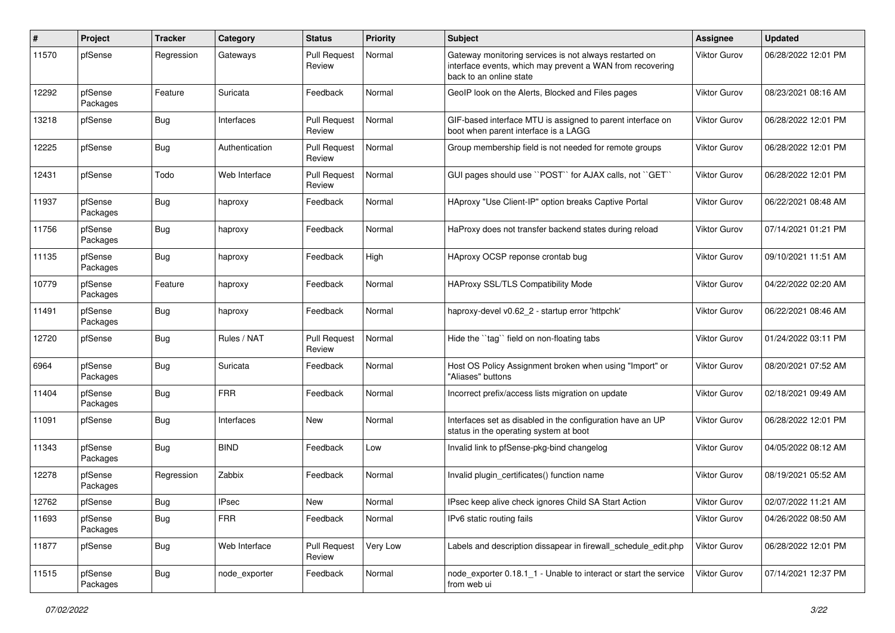| #     | Project             | <b>Tracker</b> | Category       | <b>Status</b>                 | <b>Priority</b> | Subject                                                                                                                                        | <b>Assignee</b>     | <b>Updated</b>      |
|-------|---------------------|----------------|----------------|-------------------------------|-----------------|------------------------------------------------------------------------------------------------------------------------------------------------|---------------------|---------------------|
| 11570 | pfSense             | Regression     | Gateways       | <b>Pull Request</b><br>Review | Normal          | Gateway monitoring services is not always restarted on<br>interface events, which may prevent a WAN from recovering<br>back to an online state | Viktor Gurov        | 06/28/2022 12:01 PM |
| 12292 | pfSense<br>Packages | Feature        | Suricata       | Feedback                      | Normal          | GeoIP look on the Alerts, Blocked and Files pages                                                                                              | Viktor Gurov        | 08/23/2021 08:16 AM |
| 13218 | pfSense             | Bug            | Interfaces     | <b>Pull Request</b><br>Review | Normal          | GIF-based interface MTU is assigned to parent interface on<br>boot when parent interface is a LAGG                                             | Viktor Gurov        | 06/28/2022 12:01 PM |
| 12225 | pfSense             | Bug            | Authentication | <b>Pull Request</b><br>Review | Normal          | Group membership field is not needed for remote groups                                                                                         | Viktor Gurov        | 06/28/2022 12:01 PM |
| 12431 | pfSense             | Todo           | Web Interface  | <b>Pull Request</b><br>Review | Normal          | GUI pages should use "POST" for AJAX calls, not "GET"                                                                                          | Viktor Gurov        | 06/28/2022 12:01 PM |
| 11937 | pfSense<br>Packages | Bug            | haproxy        | Feedback                      | Normal          | HAproxy "Use Client-IP" option breaks Captive Portal                                                                                           | Viktor Gurov        | 06/22/2021 08:48 AM |
| 11756 | pfSense<br>Packages | Bug            | haproxy        | Feedback                      | Normal          | HaProxy does not transfer backend states during reload                                                                                         | Viktor Gurov        | 07/14/2021 01:21 PM |
| 11135 | pfSense<br>Packages | Bug            | haproxy        | Feedback                      | High            | HAproxy OCSP reponse crontab bug                                                                                                               | Viktor Gurov        | 09/10/2021 11:51 AM |
| 10779 | pfSense<br>Packages | Feature        | haproxy        | Feedback                      | Normal          | HAProxy SSL/TLS Compatibility Mode                                                                                                             | <b>Viktor Gurov</b> | 04/22/2022 02:20 AM |
| 11491 | pfSense<br>Packages | Bug            | haproxy        | Feedback                      | Normal          | haproxy-devel v0.62_2 - startup error 'httpchk'                                                                                                | Viktor Gurov        | 06/22/2021 08:46 AM |
| 12720 | pfSense             | Bug            | Rules / NAT    | <b>Pull Request</b><br>Review | Normal          | Hide the "tag" field on non-floating tabs                                                                                                      | Viktor Gurov        | 01/24/2022 03:11 PM |
| 6964  | pfSense<br>Packages | Bug            | Suricata       | Feedback                      | Normal          | Host OS Policy Assignment broken when using "Import" or<br>"Aliases" buttons                                                                   | Viktor Gurov        | 08/20/2021 07:52 AM |
| 11404 | pfSense<br>Packages | Bug            | <b>FRR</b>     | Feedback                      | Normal          | Incorrect prefix/access lists migration on update                                                                                              | Viktor Gurov        | 02/18/2021 09:49 AM |
| 11091 | pfSense             | Bug            | Interfaces     | New                           | Normal          | Interfaces set as disabled in the configuration have an UP<br>status in the operating system at boot                                           | Viktor Gurov        | 06/28/2022 12:01 PM |
| 11343 | pfSense<br>Packages | Bug            | <b>BIND</b>    | Feedback                      | Low             | Invalid link to pfSense-pkg-bind changelog                                                                                                     | Viktor Gurov        | 04/05/2022 08:12 AM |
| 12278 | pfSense<br>Packages | Regression     | Zabbix         | Feedback                      | Normal          | Invalid plugin certificates() function name                                                                                                    | Viktor Gurov        | 08/19/2021 05:52 AM |
| 12762 | pfSense             | Bug            | <b>IPsec</b>   | New                           | Normal          | IPsec keep alive check ignores Child SA Start Action                                                                                           | Viktor Gurov        | 02/07/2022 11:21 AM |
| 11693 | pfSense<br>Packages | <b>Bug</b>     | <b>FRR</b>     | Feedback                      | Normal          | IPv6 static routing fails                                                                                                                      | Viktor Gurov        | 04/26/2022 08:50 AM |
| 11877 | pfSense             | <b>Bug</b>     | Web Interface  | <b>Pull Request</b><br>Review | Very Low        | Labels and description dissapear in firewall_schedule_edit.php                                                                                 | Viktor Gurov        | 06/28/2022 12:01 PM |
| 11515 | pfSense<br>Packages | <b>Bug</b>     | node_exporter  | Feedback                      | Normal          | node exporter 0.18.1 1 - Unable to interact or start the service<br>from web ui                                                                | Viktor Gurov        | 07/14/2021 12:37 PM |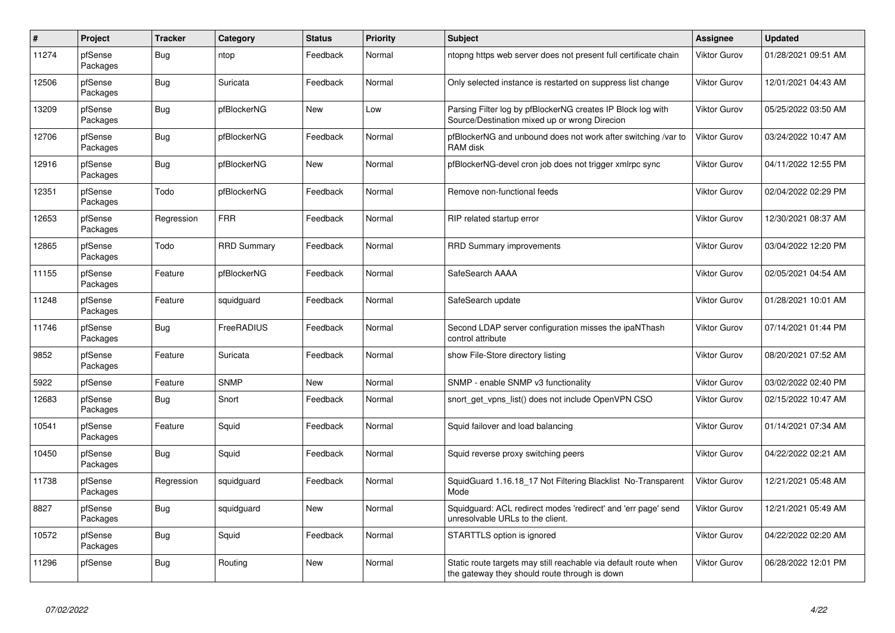| $\#$  | Project             | <b>Tracker</b> | Category           | <b>Status</b> | <b>Priority</b> | <b>Subject</b>                                                                                                   | Assignee            | <b>Updated</b>      |
|-------|---------------------|----------------|--------------------|---------------|-----------------|------------------------------------------------------------------------------------------------------------------|---------------------|---------------------|
| 11274 | pfSense<br>Packages | <b>Bug</b>     | ntop               | Feedback      | Normal          | ntopng https web server does not present full certificate chain                                                  | Viktor Gurov        | 01/28/2021 09:51 AM |
| 12506 | pfSense<br>Packages | <b>Bug</b>     | Suricata           | Feedback      | Normal          | Only selected instance is restarted on suppress list change                                                      | Viktor Gurov        | 12/01/2021 04:43 AM |
| 13209 | pfSense<br>Packages | Bug            | pfBlockerNG        | <b>New</b>    | Low             | Parsing Filter log by pfBlockerNG creates IP Block log with<br>Source/Destination mixed up or wrong Direcion     | Viktor Gurov        | 05/25/2022 03:50 AM |
| 12706 | pfSense<br>Packages | <b>Bug</b>     | pfBlockerNG        | Feedback      | Normal          | pfBlockerNG and unbound does not work after switching /var to<br>RAM disk                                        | Viktor Gurov        | 03/24/2022 10:47 AM |
| 12916 | pfSense<br>Packages | <b>Bug</b>     | pfBlockerNG        | New           | Normal          | pfBlockerNG-devel cron job does not trigger xmlrpc sync                                                          | Viktor Gurov        | 04/11/2022 12:55 PM |
| 12351 | pfSense<br>Packages | Todo           | pfBlockerNG        | Feedback      | Normal          | Remove non-functional feeds                                                                                      | Viktor Gurov        | 02/04/2022 02:29 PM |
| 12653 | pfSense<br>Packages | Regression     | <b>FRR</b>         | Feedback      | Normal          | RIP related startup error                                                                                        | Viktor Gurov        | 12/30/2021 08:37 AM |
| 12865 | pfSense<br>Packages | Todo           | <b>RRD Summary</b> | Feedback      | Normal          | <b>RRD Summary improvements</b>                                                                                  | Viktor Gurov        | 03/04/2022 12:20 PM |
| 11155 | pfSense<br>Packages | Feature        | pfBlockerNG        | Feedback      | Normal          | SafeSearch AAAA                                                                                                  | Viktor Gurov        | 02/05/2021 04:54 AM |
| 11248 | pfSense<br>Packages | Feature        | squidguard         | Feedback      | Normal          | SafeSearch update                                                                                                | Viktor Gurov        | 01/28/2021 10:01 AM |
| 11746 | pfSense<br>Packages | Bug            | FreeRADIUS         | Feedback      | Normal          | Second LDAP server configuration misses the ipaNThash<br>control attribute                                       | Viktor Gurov        | 07/14/2021 01:44 PM |
| 9852  | pfSense<br>Packages | Feature        | Suricata           | Feedback      | Normal          | show File-Store directory listing                                                                                | Viktor Gurov        | 08/20/2021 07:52 AM |
| 5922  | pfSense             | Feature        | <b>SNMP</b>        | <b>New</b>    | Normal          | SNMP - enable SNMP v3 functionality                                                                              | Viktor Gurov        | 03/02/2022 02:40 PM |
| 12683 | pfSense<br>Packages | Bug            | Snort              | Feedback      | Normal          | snort get vpns list() does not include OpenVPN CSO                                                               | Viktor Gurov        | 02/15/2022 10:47 AM |
| 10541 | pfSense<br>Packages | Feature        | Squid              | Feedback      | Normal          | Squid failover and load balancing                                                                                | Viktor Gurov        | 01/14/2021 07:34 AM |
| 10450 | pfSense<br>Packages | <b>Bug</b>     | Squid              | Feedback      | Normal          | Squid reverse proxy switching peers                                                                              | <b>Viktor Gurov</b> | 04/22/2022 02:21 AM |
| 11738 | pfSense<br>Packages | Regression     | squidguard         | Feedback      | Normal          | SquidGuard 1.16.18 17 Not Filtering Blacklist No-Transparent<br>Mode                                             | Viktor Gurov        | 12/21/2021 05:48 AM |
| 8827  | pfSense<br>Packages | <b>Bug</b>     | squidguard         | New           | Normal          | Squidguard: ACL redirect modes 'redirect' and 'err page' send<br>unresolvable URLs to the client.                | Viktor Gurov        | 12/21/2021 05:49 AM |
| 10572 | pfSense<br>Packages | Bug            | Squid              | Feedback      | Normal          | STARTTLS option is ignored                                                                                       | Viktor Gurov        | 04/22/2022 02:20 AM |
| 11296 | pfSense             | <b>Bug</b>     | Routing            | <b>New</b>    | Normal          | Static route targets may still reachable via default route when<br>the gateway they should route through is down | Viktor Gurov        | 06/28/2022 12:01 PM |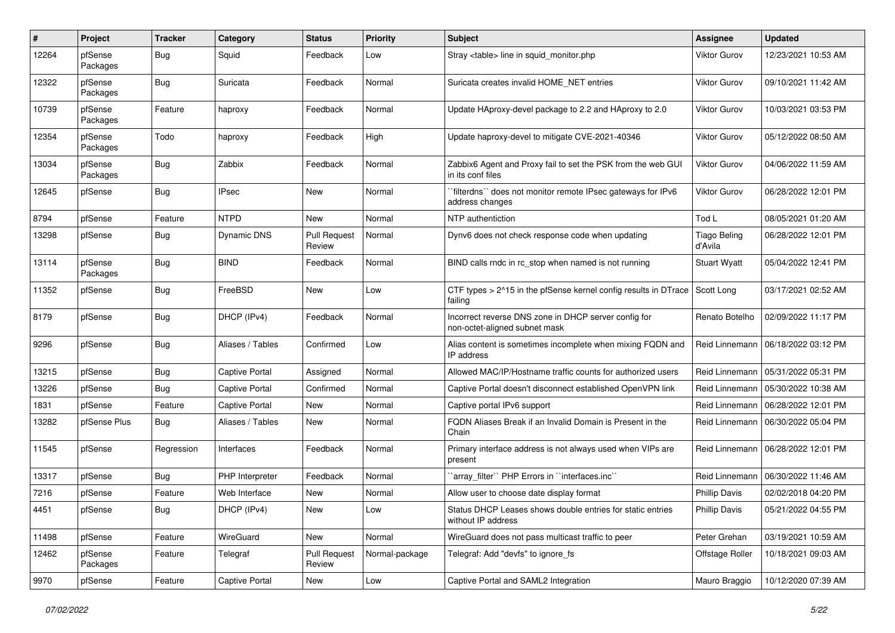| #     | Project             | <b>Tracker</b> | Category              | <b>Status</b>                 | <b>Priority</b> | Subject                                                                               | Assignee                       | <b>Updated</b>      |
|-------|---------------------|----------------|-----------------------|-------------------------------|-----------------|---------------------------------------------------------------------------------------|--------------------------------|---------------------|
| 12264 | pfSense<br>Packages | Bug            | Squid                 | Feedback                      | Low             | Stray <table> line in squid monitor.php</table>                                       | Viktor Gurov                   | 12/23/2021 10:53 AM |
| 12322 | pfSense<br>Packages | <b>Bug</b>     | Suricata              | Feedback                      | Normal          | Suricata creates invalid HOME NET entries                                             | Viktor Gurov                   | 09/10/2021 11:42 AM |
| 10739 | pfSense<br>Packages | Feature        | haproxy               | Feedback                      | Normal          | Update HAproxy-devel package to 2.2 and HAproxy to 2.0                                | Viktor Gurov                   | 10/03/2021 03:53 PM |
| 12354 | pfSense<br>Packages | Todo           | haproxy               | Feedback                      | High            | Update haproxy-devel to mitigate CVE-2021-40346                                       | Viktor Gurov                   | 05/12/2022 08:50 AM |
| 13034 | pfSense<br>Packages | <b>Bug</b>     | Zabbix                | Feedback                      | Normal          | Zabbix6 Agent and Proxy fail to set the PSK from the web GUI<br>in its conf files     | <b>Viktor Gurov</b>            | 04/06/2022 11:59 AM |
| 12645 | pfSense             | <b>Bug</b>     | <b>IPsec</b>          | New                           | Normal          | `filterdns`` does not monitor remote IPsec gateways for IPv6<br>address changes       | <b>Viktor Gurov</b>            | 06/28/2022 12:01 PM |
| 8794  | pfSense             | Feature        | <b>NTPD</b>           | New                           | Normal          | NTP authentiction                                                                     | Tod L                          | 08/05/2021 01:20 AM |
| 13298 | pfSense             | Bug            | Dynamic DNS           | <b>Pull Request</b><br>Review | Normal          | Dynv6 does not check response code when updating                                      | <b>Tiago Beling</b><br>d'Avila | 06/28/2022 12:01 PM |
| 13114 | pfSense<br>Packages | <b>Bug</b>     | <b>BIND</b>           | Feedback                      | Normal          | BIND calls rndc in rc_stop when named is not running                                  | <b>Stuart Wyatt</b>            | 05/04/2022 12:41 PM |
| 11352 | pfSense             | Bug            | FreeBSD               | New                           | Low             | CTF types > 2^15 in the pfSense kernel config results in DTrace<br>failing            | Scott Long                     | 03/17/2021 02:52 AM |
| 8179  | pfSense             | Bug            | DHCP (IPv4)           | Feedback                      | Normal          | Incorrect reverse DNS zone in DHCP server config for<br>non-octet-aligned subnet mask | Renato Botelho                 | 02/09/2022 11:17 PM |
| 9296  | pfSense             | <b>Bug</b>     | Aliases / Tables      | Confirmed                     | Low             | Alias content is sometimes incomplete when mixing FQDN and<br>IP address              | Reid Linnemann                 | 06/18/2022 03:12 PM |
| 13215 | pfSense             | <b>Bug</b>     | <b>Captive Portal</b> | Assigned                      | Normal          | Allowed MAC/IP/Hostname traffic counts for authorized users                           | Reid Linnemann                 | 05/31/2022 05:31 PM |
| 13226 | pfSense             | Bug            | Captive Portal        | Confirmed                     | Normal          | Captive Portal doesn't disconnect established OpenVPN link                            | Reid Linnemann                 | 05/30/2022 10:38 AM |
| 1831  | pfSense             | Feature        | <b>Captive Portal</b> | New                           | Normal          | Captive portal IPv6 support                                                           | Reid Linnemann                 | 06/28/2022 12:01 PM |
| 13282 | pfSense Plus        | Bug            | Aliases / Tables      | <b>New</b>                    | Normal          | FQDN Aliases Break if an Invalid Domain is Present in the<br>Chain                    | Reid Linnemann                 | 06/30/2022 05:04 PM |
| 11545 | pfSense             | Regression     | Interfaces            | Feedback                      | Normal          | Primary interface address is not always used when VIPs are<br>present                 | Reid Linnemann                 | 06/28/2022 12:01 PM |
| 13317 | pfSense             | <b>Bug</b>     | PHP Interpreter       | Feedback                      | Normal          | 'array_filter'' PHP Errors in ''interfaces.inc''                                      | Reid Linnemann                 | 06/30/2022 11:46 AM |
| 7216  | pfSense             | Feature        | Web Interface         | New                           | Normal          | Allow user to choose date display format                                              | <b>Phillip Davis</b>           | 02/02/2018 04:20 PM |
| 4451  | pfSense             | <b>Bug</b>     | DHCP (IPv4)           | New                           | Low             | Status DHCP Leases shows double entries for static entries<br>without IP address      | <b>Phillip Davis</b>           | 05/21/2022 04:55 PM |
| 11498 | pfSense             | Feature        | WireGuard             | New                           | Normal          | WireGuard does not pass multicast traffic to peer                                     | Peter Grehan                   | 03/19/2021 10:59 AM |
| 12462 | pfSense<br>Packages | Feature        | Telegraf              | <b>Pull Request</b><br>Review | Normal-package  | Telegraf: Add "devfs" to ignore fs                                                    | Offstage Roller                | 10/18/2021 09:03 AM |
| 9970  | pfSense             | Feature        | Captive Portal        | New                           | Low             | Captive Portal and SAML2 Integration                                                  | Mauro Braggio                  | 10/12/2020 07:39 AM |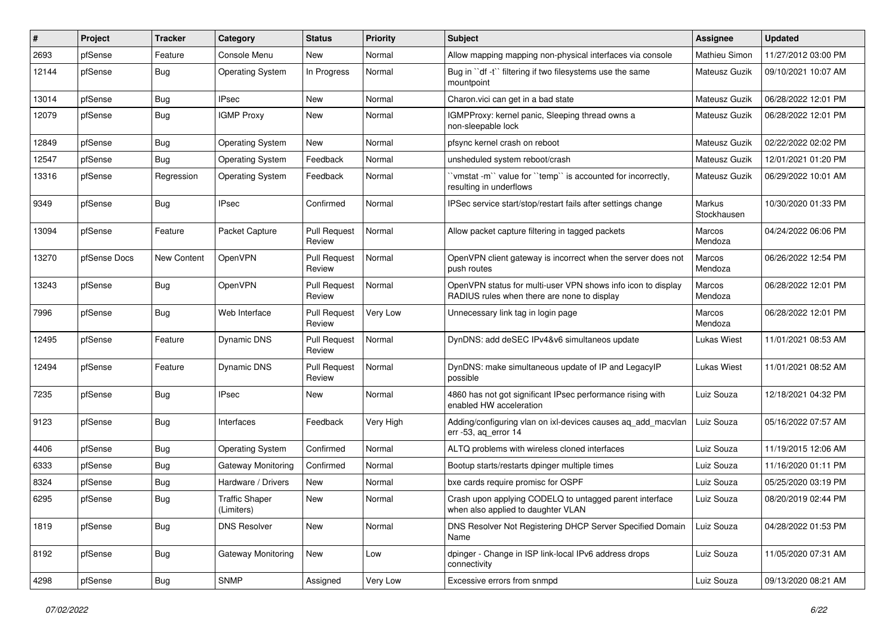| ∦     | Project      | <b>Tracker</b>     | Category                            | <b>Status</b>                 | Priority  | Subject                                                                                                     | <b>Assignee</b>       | Updated             |
|-------|--------------|--------------------|-------------------------------------|-------------------------------|-----------|-------------------------------------------------------------------------------------------------------------|-----------------------|---------------------|
| 2693  | pfSense      | Feature            | Console Menu                        | New                           | Normal    | Allow mapping mapping non-physical interfaces via console                                                   | Mathieu Simon         | 11/27/2012 03:00 PM |
| 12144 | pfSense      | Bug                | <b>Operating System</b>             | In Progress                   | Normal    | Bug in "df -t" filtering if two filesystems use the same<br>mountpoint                                      | Mateusz Guzik         | 09/10/2021 10:07 AM |
| 13014 | pfSense      | Bug                | <b>IPsec</b>                        | New                           | Normal    | Charon.vici can get in a bad state                                                                          | Mateusz Guzik         | 06/28/2022 12:01 PM |
| 12079 | pfSense      | <b>Bug</b>         | <b>IGMP Proxy</b>                   | New                           | Normal    | IGMPProxy: kernel panic, Sleeping thread owns a<br>non-sleepable lock                                       | Mateusz Guzik         | 06/28/2022 12:01 PM |
| 12849 | pfSense      | Bug                | <b>Operating System</b>             | New                           | Normal    | pfsync kernel crash on reboot                                                                               | Mateusz Guzik         | 02/22/2022 02:02 PM |
| 12547 | pfSense      | <b>Bug</b>         | <b>Operating System</b>             | Feedback                      | Normal    | unsheduled system reboot/crash                                                                              | Mateusz Guzik         | 12/01/2021 01:20 PM |
| 13316 | pfSense      | Regression         | <b>Operating System</b>             | Feedback                      | Normal    | 'vmstat -m'' value for ''temp'' is accounted for incorrectly,<br>resulting in underflows                    | Mateusz Guzik         | 06/29/2022 10:01 AM |
| 9349  | pfSense      | Bug                | <b>IPsec</b>                        | Confirmed                     | Normal    | IPSec service start/stop/restart fails after settings change                                                | Markus<br>Stockhausen | 10/30/2020 01:33 PM |
| 13094 | pfSense      | Feature            | <b>Packet Capture</b>               | <b>Pull Request</b><br>Review | Normal    | Allow packet capture filtering in tagged packets                                                            | Marcos<br>Mendoza     | 04/24/2022 06:06 PM |
| 13270 | pfSense Docs | <b>New Content</b> | OpenVPN                             | <b>Pull Request</b><br>Review | Normal    | OpenVPN client gateway is incorrect when the server does not<br>push routes                                 | Marcos<br>Mendoza     | 06/26/2022 12:54 PM |
| 13243 | pfSense      | Bug                | OpenVPN                             | <b>Pull Request</b><br>Review | Normal    | OpenVPN status for multi-user VPN shows info icon to display<br>RADIUS rules when there are none to display | Marcos<br>Mendoza     | 06/28/2022 12:01 PM |
| 7996  | pfSense      | Bug                | Web Interface                       | <b>Pull Request</b><br>Review | Very Low  | Unnecessary link tag in login page                                                                          | Marcos<br>Mendoza     | 06/28/2022 12:01 PM |
| 12495 | pfSense      | Feature            | <b>Dynamic DNS</b>                  | <b>Pull Request</b><br>Review | Normal    | DynDNS: add deSEC IPv4&v6 simultaneos update                                                                | Lukas Wiest           | 11/01/2021 08:53 AM |
| 12494 | pfSense      | Feature            | <b>Dynamic DNS</b>                  | <b>Pull Request</b><br>Review | Normal    | DynDNS: make simultaneous update of IP and LegacyIP<br>possible                                             | Lukas Wiest           | 11/01/2021 08:52 AM |
| 7235  | pfSense      | Bug                | <b>IPsec</b>                        | New                           | Normal    | 4860 has not got significant IPsec performance rising with<br>enabled HW acceleration                       | Luiz Souza            | 12/18/2021 04:32 PM |
| 9123  | pfSense      | Bug                | Interfaces                          | Feedback                      | Very High | Adding/configuring vlan on ixl-devices causes ag add macvlan<br>err -53, ag error 14                        | Luiz Souza            | 05/16/2022 07:57 AM |
| 4406  | pfSense      | <b>Bug</b>         | <b>Operating System</b>             | Confirmed                     | Normal    | ALTQ problems with wireless cloned interfaces                                                               | Luiz Souza            | 11/19/2015 12:06 AM |
| 6333  | pfSense      | Bug                | Gateway Monitoring                  | Confirmed                     | Normal    | Bootup starts/restarts dpinger multiple times                                                               | Luiz Souza            | 11/16/2020 01:11 PM |
| 8324  | pfSense      | <b>Bug</b>         | Hardware / Drivers                  | New                           | Normal    | bxe cards require promisc for OSPF                                                                          | Luiz Souza            | 05/25/2020 03:19 PM |
| 6295  | pfSense      | Bug                | <b>Traffic Shaper</b><br>(Limiters) | New                           | Normal    | Crash upon applying CODELQ to untagged parent interface<br>when also applied to daughter VLAN               | Luiz Souza            | 08/20/2019 02:44 PM |
| 1819  | pfSense      | <b>Bug</b>         | <b>DNS Resolver</b>                 | New                           | Normal    | DNS Resolver Not Registering DHCP Server Specified Domain<br>Name                                           | Luiz Souza            | 04/28/2022 01:53 PM |
| 8192  | pfSense      | <b>Bug</b>         | Gateway Monitoring                  | New                           | Low       | dpinger - Change in ISP link-local IPv6 address drops<br>connectivity                                       | Luiz Souza            | 11/05/2020 07:31 AM |
| 4298  | pfSense      | <b>Bug</b>         | <b>SNMP</b>                         | Assigned                      | Very Low  | Excessive errors from snmpd                                                                                 | Luiz Souza            | 09/13/2020 08:21 AM |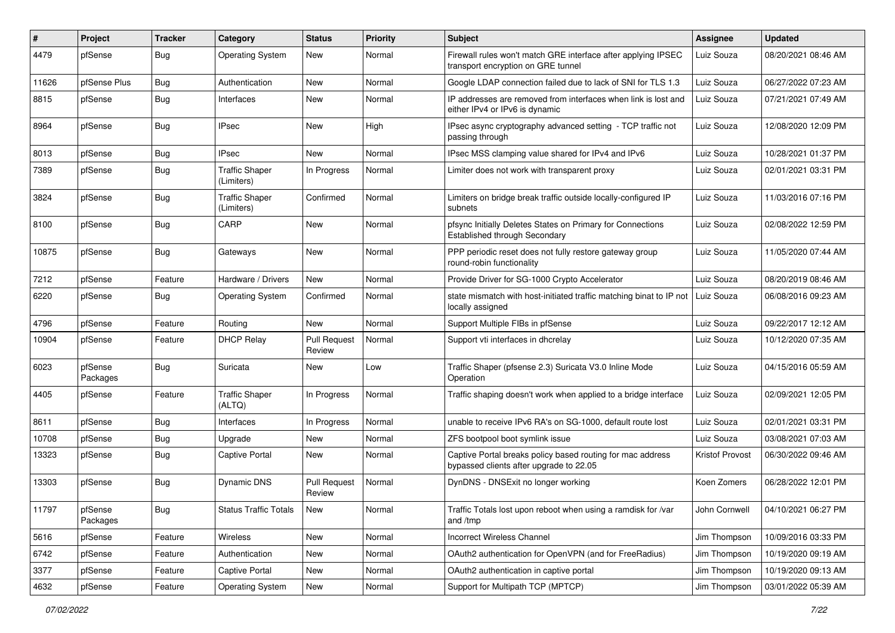| #     | Project             | <b>Tracker</b> | Category                            | <b>Status</b>                 | Priority | Subject                                                                                               | <b>Assignee</b> | <b>Updated</b>      |
|-------|---------------------|----------------|-------------------------------------|-------------------------------|----------|-------------------------------------------------------------------------------------------------------|-----------------|---------------------|
| 4479  | pfSense             | Bug            | <b>Operating System</b>             | New                           | Normal   | Firewall rules won't match GRE interface after applying IPSEC<br>transport encryption on GRE tunnel   | Luiz Souza      | 08/20/2021 08:46 AM |
| 11626 | pfSense Plus        | Bug            | Authentication                      | New                           | Normal   | Google LDAP connection failed due to lack of SNI for TLS 1.3                                          | Luiz Souza      | 06/27/2022 07:23 AM |
| 8815  | pfSense             | Bug            | Interfaces                          | New                           | Normal   | IP addresses are removed from interfaces when link is lost and<br>either IPv4 or IPv6 is dynamic      | Luiz Souza      | 07/21/2021 07:49 AM |
| 8964  | pfSense             | <b>Bug</b>     | <b>IPsec</b>                        | New                           | High     | IPsec async cryptography advanced setting - TCP traffic not<br>passing through                        | Luiz Souza      | 12/08/2020 12:09 PM |
| 8013  | pfSense             | Bug            | <b>IPsec</b>                        | New                           | Normal   | IPsec MSS clamping value shared for IPv4 and IPv6                                                     | Luiz Souza      | 10/28/2021 01:37 PM |
| 7389  | pfSense             | <b>Bug</b>     | <b>Traffic Shaper</b><br>(Limiters) | In Progress                   | Normal   | Limiter does not work with transparent proxy                                                          | Luiz Souza      | 02/01/2021 03:31 PM |
| 3824  | pfSense             | <b>Bug</b>     | <b>Traffic Shaper</b><br>(Limiters) | Confirmed                     | Normal   | Limiters on bridge break traffic outside locally-configured IP<br>subnets                             | Luiz Souza      | 11/03/2016 07:16 PM |
| 8100  | pfSense             | Bug            | CARP                                | New                           | Normal   | pfsync Initially Deletes States on Primary for Connections<br>Established through Secondary           | Luiz Souza      | 02/08/2022 12:59 PM |
| 10875 | pfSense             | Bug            | Gateways                            | New                           | Normal   | PPP periodic reset does not fully restore gateway group<br>round-robin functionality                  | Luiz Souza      | 11/05/2020 07:44 AM |
| 7212  | pfSense             | Feature        | Hardware / Drivers                  | New                           | Normal   | Provide Driver for SG-1000 Crypto Accelerator                                                         | Luiz Souza      | 08/20/2019 08:46 AM |
| 6220  | pfSense             | Bug            | <b>Operating System</b>             | Confirmed                     | Normal   | state mismatch with host-initiated traffic matching binat to IP not<br>locally assigned               | Luiz Souza      | 06/08/2016 09:23 AM |
| 4796  | pfSense             | Feature        | Routing                             | <b>New</b>                    | Normal   | Support Multiple FIBs in pfSense                                                                      | Luiz Souza      | 09/22/2017 12:12 AM |
| 10904 | pfSense             | Feature        | <b>DHCP Relay</b>                   | <b>Pull Request</b><br>Review | Normal   | Support vti interfaces in dhcrelay                                                                    | Luiz Souza      | 10/12/2020 07:35 AM |
| 6023  | pfSense<br>Packages | <b>Bug</b>     | Suricata                            | New                           | Low      | Traffic Shaper (pfsense 2.3) Suricata V3.0 Inline Mode<br>Operation                                   | Luiz Souza      | 04/15/2016 05:59 AM |
| 4405  | pfSense             | Feature        | <b>Traffic Shaper</b><br>(ALTQ)     | In Progress                   | Normal   | Traffic shaping doesn't work when applied to a bridge interface                                       | Luiz Souza      | 02/09/2021 12:05 PM |
| 8611  | pfSense             | <b>Bug</b>     | Interfaces                          | In Progress                   | Normal   | unable to receive IPv6 RA's on SG-1000, default route lost                                            | Luiz Souza      | 02/01/2021 03:31 PM |
| 10708 | pfSense             | Bug            | Upgrade                             | New                           | Normal   | ZFS bootpool boot symlink issue                                                                       | Luiz Souza      | 03/08/2021 07:03 AM |
| 13323 | pfSense             | Bug            | <b>Captive Portal</b>               | New                           | Normal   | Captive Portal breaks policy based routing for mac address<br>bypassed clients after upgrade to 22.05 | Kristof Provost | 06/30/2022 09:46 AM |
| 13303 | pfSense             | Bug            | <b>Dynamic DNS</b>                  | <b>Pull Request</b><br>Review | Normal   | DynDNS - DNSExit no longer working                                                                    | Koen Zomers     | 06/28/2022 12:01 PM |
| 11797 | pfSense<br>Packages | <b>Bug</b>     | <b>Status Traffic Totals</b>        | New                           | Normal   | Traffic Totals lost upon reboot when using a ramdisk for /var<br>and /tmp                             | John Cornwell   | 04/10/2021 06:27 PM |
| 5616  | pfSense             | Feature        | Wireless                            | New                           | Normal   | Incorrect Wireless Channel                                                                            | Jim Thompson    | 10/09/2016 03:33 PM |
| 6742  | pfSense             | Feature        | Authentication                      | New                           | Normal   | OAuth2 authentication for OpenVPN (and for FreeRadius)                                                | Jim Thompson    | 10/19/2020 09:19 AM |
| 3377  | pfSense             | Feature        | Captive Portal                      | New                           | Normal   | OAuth2 authentication in captive portal                                                               | Jim Thompson    | 10/19/2020 09:13 AM |
| 4632  | pfSense             | Feature        | <b>Operating System</b>             | New                           | Normal   | Support for Multipath TCP (MPTCP)                                                                     | Jim Thompson    | 03/01/2022 05:39 AM |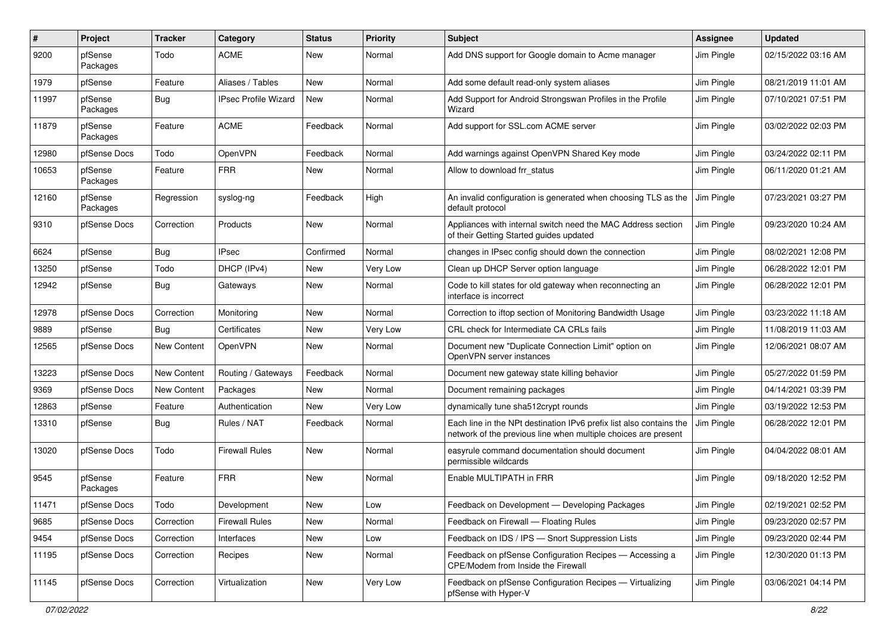| #     | Project             | <b>Tracker</b> | Category                    | <b>Status</b> | <b>Priority</b> | Subject                                                                                                                               | <b>Assignee</b> | <b>Updated</b>      |
|-------|---------------------|----------------|-----------------------------|---------------|-----------------|---------------------------------------------------------------------------------------------------------------------------------------|-----------------|---------------------|
| 9200  | pfSense<br>Packages | Todo           | <b>ACME</b>                 | New           | Normal          | Add DNS support for Google domain to Acme manager                                                                                     | Jim Pingle      | 02/15/2022 03:16 AM |
| 1979  | pfSense             | Feature        | Aliases / Tables            | New           | Normal          | Add some default read-only system aliases                                                                                             | Jim Pingle      | 08/21/2019 11:01 AM |
| 11997 | pfSense<br>Packages | <b>Bug</b>     | <b>IPsec Profile Wizard</b> | New           | Normal          | Add Support for Android Strongswan Profiles in the Profile<br>Wizard                                                                  | Jim Pingle      | 07/10/2021 07:51 PM |
| 11879 | pfSense<br>Packages | Feature        | <b>ACME</b>                 | Feedback      | Normal          | Add support for SSL.com ACME server                                                                                                   | Jim Pingle      | 03/02/2022 02:03 PM |
| 12980 | pfSense Docs        | Todo           | OpenVPN                     | Feedback      | Normal          | Add warnings against OpenVPN Shared Key mode                                                                                          | Jim Pingle      | 03/24/2022 02:11 PM |
| 10653 | pfSense<br>Packages | Feature        | <b>FRR</b>                  | New           | Normal          | Allow to download frr status                                                                                                          | Jim Pingle      | 06/11/2020 01:21 AM |
| 12160 | pfSense<br>Packages | Regression     | syslog-ng                   | Feedback      | High            | An invalid configuration is generated when choosing TLS as the<br>default protocol                                                    | Jim Pingle      | 07/23/2021 03:27 PM |
| 9310  | pfSense Docs        | Correction     | Products                    | New           | Normal          | Appliances with internal switch need the MAC Address section<br>of their Getting Started guides updated                               | Jim Pingle      | 09/23/2020 10:24 AM |
| 6624  | pfSense             | Bug            | <b>IPsec</b>                | Confirmed     | Normal          | changes in IPsec config should down the connection                                                                                    | Jim Pingle      | 08/02/2021 12:08 PM |
| 13250 | pfSense             | Todo           | DHCP (IPv4)                 | New           | Very Low        | Clean up DHCP Server option language                                                                                                  | Jim Pingle      | 06/28/2022 12:01 PM |
| 12942 | pfSense             | Bug            | Gateways                    | New           | Normal          | Code to kill states for old gateway when reconnecting an<br>interface is incorrect                                                    | Jim Pingle      | 06/28/2022 12:01 PM |
| 12978 | pfSense Docs        | Correction     | Monitoring                  | New           | Normal          | Correction to iftop section of Monitoring Bandwidth Usage                                                                             | Jim Pingle      | 03/23/2022 11:18 AM |
| 9889  | pfSense             | Bug            | Certificates                | New           | Very Low        | CRL check for Intermediate CA CRLs fails                                                                                              | Jim Pingle      | 11/08/2019 11:03 AM |
| 12565 | pfSense Docs        | New Content    | OpenVPN                     | New           | Normal          | Document new "Duplicate Connection Limit" option on<br>OpenVPN server instances                                                       | Jim Pingle      | 12/06/2021 08:07 AM |
| 13223 | pfSense Docs        | New Content    | Routing / Gateways          | Feedback      | Normal          | Document new gateway state killing behavior                                                                                           | Jim Pingle      | 05/27/2022 01:59 PM |
| 9369  | pfSense Docs        | New Content    | Packages                    | <b>New</b>    | Normal          | Document remaining packages                                                                                                           | Jim Pingle      | 04/14/2021 03:39 PM |
| 12863 | pfSense             | Feature        | Authentication              | New           | Very Low        | dynamically tune sha512crypt rounds                                                                                                   | Jim Pingle      | 03/19/2022 12:53 PM |
| 13310 | pfSense             | Bug            | Rules / NAT                 | Feedback      | Normal          | Each line in the NPt destination IPv6 prefix list also contains the<br>network of the previous line when multiple choices are present | Jim Pingle      | 06/28/2022 12:01 PM |
| 13020 | pfSense Docs        | Todo           | <b>Firewall Rules</b>       | <b>New</b>    | Normal          | easyrule command documentation should document<br>permissible wildcards                                                               | Jim Pingle      | 04/04/2022 08:01 AM |
| 9545  | pfSense<br>Packages | Feature        | <b>FRR</b>                  | New           | Normal          | Enable MULTIPATH in FRR                                                                                                               | Jim Pingle      | 09/18/2020 12:52 PM |
| 11471 | pfSense Docs        | Todo           | Development                 | New           | Low             | Feedback on Development - Developing Packages                                                                                         | Jim Pingle      | 02/19/2021 02:52 PM |
| 9685  | pfSense Docs        | Correction     | Firewall Rules              | New           | Normal          | Feedback on Firewall - Floating Rules                                                                                                 | Jim Pingle      | 09/23/2020 02:57 PM |
| 9454  | pfSense Docs        | Correction     | Interfaces                  | New           | Low             | Feedback on IDS / IPS - Snort Suppression Lists                                                                                       | Jim Pingle      | 09/23/2020 02:44 PM |
| 11195 | pfSense Docs        | Correction     | Recipes                     | New           | Normal          | Feedback on pfSense Configuration Recipes - Accessing a<br>CPE/Modem from Inside the Firewall                                         | Jim Pingle      | 12/30/2020 01:13 PM |
| 11145 | pfSense Docs        | Correction     | Virtualization              | New           | Very Low        | Feedback on pfSense Configuration Recipes - Virtualizing<br>pfSense with Hyper-V                                                      | Jim Pingle      | 03/06/2021 04:14 PM |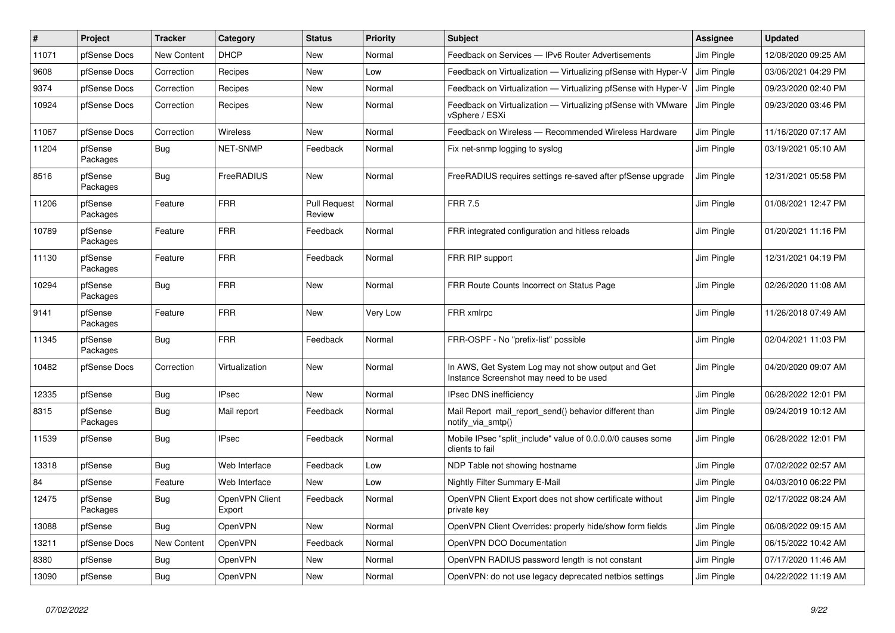| $\pmb{\#}$ | Project             | <b>Tracker</b>     | Category                 | <b>Status</b>                 | <b>Priority</b> | <b>Subject</b>                                                                                | <b>Assignee</b> | <b>Updated</b>      |
|------------|---------------------|--------------------|--------------------------|-------------------------------|-----------------|-----------------------------------------------------------------------------------------------|-----------------|---------------------|
| 11071      | pfSense Docs        | <b>New Content</b> | <b>DHCP</b>              | <b>New</b>                    | Normal          | Feedback on Services - IPv6 Router Advertisements                                             | Jim Pingle      | 12/08/2020 09:25 AM |
| 9608       | pfSense Docs        | Correction         | Recipes                  | <b>New</b>                    | Low             | Feedback on Virtualization - Virtualizing pfSense with Hyper-V                                | Jim Pingle      | 03/06/2021 04:29 PM |
| 9374       | pfSense Docs        | Correction         | Recipes                  | <b>New</b>                    | Normal          | Feedback on Virtualization - Virtualizing pfSense with Hyper-V                                | Jim Pingle      | 09/23/2020 02:40 PM |
| 10924      | pfSense Docs        | Correction         | Recipes                  | <b>New</b>                    | Normal          | Feedback on Virtualization - Virtualizing pfSense with VMware<br>vSphere / ESXi               | Jim Pingle      | 09/23/2020 03:46 PM |
| 11067      | pfSense Docs        | Correction         | <b>Wireless</b>          | <b>New</b>                    | Normal          | Feedback on Wireless - Recommended Wireless Hardware                                          | Jim Pingle      | 11/16/2020 07:17 AM |
| 11204      | pfSense<br>Packages | Bug                | NET-SNMP                 | Feedback                      | Normal          | Fix net-snmp logging to syslog                                                                | Jim Pingle      | 03/19/2021 05:10 AM |
| 8516       | pfSense<br>Packages | Bug                | FreeRADIUS               | <b>New</b>                    | Normal          | FreeRADIUS requires settings re-saved after pfSense upgrade                                   | Jim Pingle      | 12/31/2021 05:58 PM |
| 11206      | pfSense<br>Packages | Feature            | <b>FRR</b>               | <b>Pull Request</b><br>Review | Normal          | <b>FRR 7.5</b>                                                                                | Jim Pingle      | 01/08/2021 12:47 PM |
| 10789      | pfSense<br>Packages | Feature            | <b>FRR</b>               | Feedback                      | Normal          | FRR integrated configuration and hitless reloads                                              | Jim Pingle      | 01/20/2021 11:16 PM |
| 11130      | pfSense<br>Packages | Feature            | <b>FRR</b>               | Feedback                      | Normal          | FRR RIP support                                                                               | Jim Pingle      | 12/31/2021 04:19 PM |
| 10294      | pfSense<br>Packages | Bug                | <b>FRR</b>               | <b>New</b>                    | Normal          | FRR Route Counts Incorrect on Status Page                                                     | Jim Pingle      | 02/26/2020 11:08 AM |
| 9141       | pfSense<br>Packages | Feature            | <b>FRR</b>               | <b>New</b>                    | Very Low        | FRR xmlrpc                                                                                    | Jim Pingle      | 11/26/2018 07:49 AM |
| 11345      | pfSense<br>Packages | <b>Bug</b>         | <b>FRR</b>               | Feedback                      | Normal          | FRR-OSPF - No "prefix-list" possible                                                          | Jim Pingle      | 02/04/2021 11:03 PM |
| 10482      | pfSense Docs        | Correction         | Virtualization           | <b>New</b>                    | Normal          | In AWS, Get System Log may not show output and Get<br>Instance Screenshot may need to be used | Jim Pingle      | 04/20/2020 09:07 AM |
| 12335      | pfSense             | Bug                | <b>IPsec</b>             | <b>New</b>                    | Normal          | <b>IPsec DNS inefficiency</b>                                                                 | Jim Pingle      | 06/28/2022 12:01 PM |
| 8315       | pfSense<br>Packages | Bug                | Mail report              | Feedback                      | Normal          | Mail Report mail report send() behavior different than<br>notify_via_smtp()                   | Jim Pingle      | 09/24/2019 10:12 AM |
| 11539      | pfSense             | <b>Bug</b>         | <b>IPsec</b>             | Feedback                      | Normal          | Mobile IPsec "split include" value of 0.0.0.0/0 causes some<br>clients to fail                | Jim Pingle      | 06/28/2022 12:01 PM |
| 13318      | pfSense             | <b>Bug</b>         | Web Interface            | Feedback                      | Low             | NDP Table not showing hostname                                                                | Jim Pingle      | 07/02/2022 02:57 AM |
| 84         | pfSense             | Feature            | Web Interface            | <b>New</b>                    | Low             | Nightly Filter Summary E-Mail                                                                 | Jim Pingle      | 04/03/2010 06:22 PM |
| 12475      | pfSense<br>Packages | Bug                | OpenVPN Client<br>Export | Feedback                      | Normal          | OpenVPN Client Export does not show certificate without<br>private key                        | Jim Pingle      | 02/17/2022 08:24 AM |
| 13088      | pfSense             | <b>Bug</b>         | <b>OpenVPN</b>           | <b>New</b>                    | Normal          | OpenVPN Client Overrides: properly hide/show form fields                                      | Jim Pingle      | 06/08/2022 09:15 AM |
| 13211      | pfSense Docs        | <b>New Content</b> | <b>OpenVPN</b>           | Feedback                      | Normal          | OpenVPN DCO Documentation                                                                     | Jim Pingle      | 06/15/2022 10:42 AM |
| 8380       | pfSense             | Bug                | <b>OpenVPN</b>           | <b>New</b>                    | Normal          | OpenVPN RADIUS password length is not constant                                                | Jim Pingle      | 07/17/2020 11:46 AM |
| 13090      | pfSense             | <b>Bug</b>         | <b>OpenVPN</b>           | <b>New</b>                    | Normal          | OpenVPN: do not use legacy deprecated netbios settings                                        | Jim Pingle      | 04/22/2022 11:19 AM |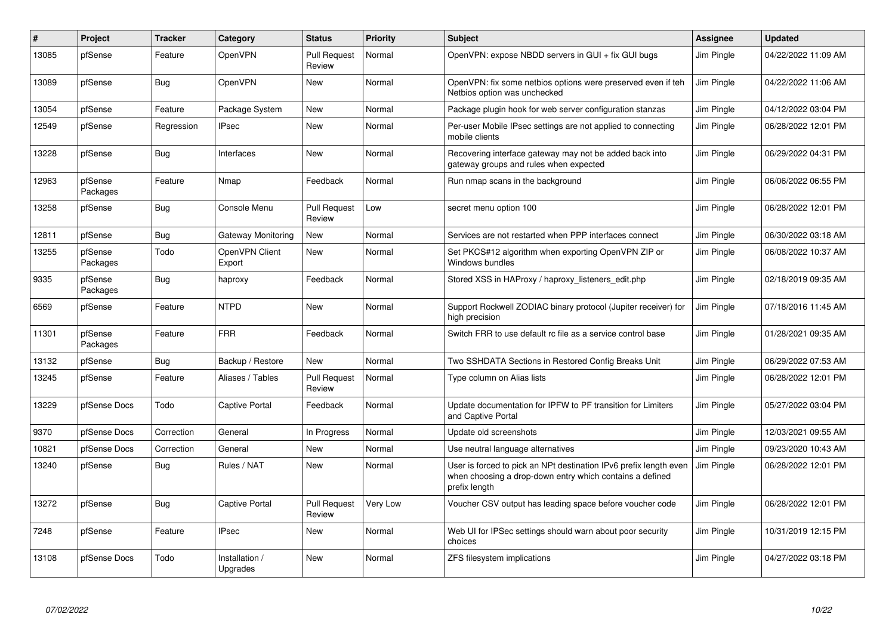| #     | Project             | <b>Tracker</b> | Category                   | <b>Status</b>                 | <b>Priority</b> | <b>Subject</b>                                                                                                                                 | Assignee   | <b>Updated</b>      |
|-------|---------------------|----------------|----------------------------|-------------------------------|-----------------|------------------------------------------------------------------------------------------------------------------------------------------------|------------|---------------------|
| 13085 | pfSense             | Feature        | OpenVPN                    | <b>Pull Request</b><br>Review | Normal          | OpenVPN: expose NBDD servers in GUI + fix GUI bugs                                                                                             | Jim Pingle | 04/22/2022 11:09 AM |
| 13089 | pfSense             | Bug            | OpenVPN                    | <b>New</b>                    | Normal          | OpenVPN: fix some netbios options were preserved even if teh<br>Netbios option was unchecked                                                   | Jim Pingle | 04/22/2022 11:06 AM |
| 13054 | pfSense             | Feature        | Package System             | <b>New</b>                    | Normal          | Package plugin hook for web server configuration stanzas                                                                                       | Jim Pingle | 04/12/2022 03:04 PM |
| 12549 | pfSense             | Regression     | <b>IPsec</b>               | New                           | Normal          | Per-user Mobile IPsec settings are not applied to connecting<br>mobile clients                                                                 | Jim Pingle | 06/28/2022 12:01 PM |
| 13228 | pfSense             | <b>Bug</b>     | Interfaces                 | <b>New</b>                    | Normal          | Recovering interface gateway may not be added back into<br>gateway groups and rules when expected                                              | Jim Pingle | 06/29/2022 04:31 PM |
| 12963 | pfSense<br>Packages | Feature        | Nmap                       | Feedback                      | Normal          | Run nmap scans in the background                                                                                                               | Jim Pingle | 06/06/2022 06:55 PM |
| 13258 | pfSense             | Bug            | Console Menu               | <b>Pull Request</b><br>Review | Low             | secret menu option 100                                                                                                                         | Jim Pingle | 06/28/2022 12:01 PM |
| 12811 | pfSense             | Bug            | Gateway Monitoring         | <b>New</b>                    | Normal          | Services are not restarted when PPP interfaces connect                                                                                         | Jim Pingle | 06/30/2022 03:18 AM |
| 13255 | pfSense<br>Packages | Todo           | OpenVPN Client<br>Export   | <b>New</b>                    | Normal          | Set PKCS#12 algorithm when exporting OpenVPN ZIP or<br>Windows bundles                                                                         | Jim Pingle | 06/08/2022 10:37 AM |
| 9335  | pfSense<br>Packages | <b>Bug</b>     | haproxy                    | Feedback                      | Normal          | Stored XSS in HAProxy / haproxy_listeners_edit.php                                                                                             | Jim Pingle | 02/18/2019 09:35 AM |
| 6569  | pfSense             | Feature        | <b>NTPD</b>                | <b>New</b>                    | Normal          | Support Rockwell ZODIAC binary protocol (Jupiter receiver) for<br>high precision                                                               | Jim Pingle | 07/18/2016 11:45 AM |
| 11301 | pfSense<br>Packages | Feature        | <b>FRR</b>                 | Feedback                      | Normal          | Switch FRR to use default rc file as a service control base                                                                                    | Jim Pingle | 01/28/2021 09:35 AM |
| 13132 | pfSense             | Bug            | Backup / Restore           | <b>New</b>                    | Normal          | Two SSHDATA Sections in Restored Config Breaks Unit                                                                                            | Jim Pingle | 06/29/2022 07:53 AM |
| 13245 | pfSense             | Feature        | Aliases / Tables           | <b>Pull Request</b><br>Review | Normal          | Type column on Alias lists                                                                                                                     | Jim Pingle | 06/28/2022 12:01 PM |
| 13229 | pfSense Docs        | Todo           | Captive Portal             | Feedback                      | Normal          | Update documentation for IPFW to PF transition for Limiters<br>and Captive Portal                                                              | Jim Pingle | 05/27/2022 03:04 PM |
| 9370  | pfSense Docs        | Correction     | General                    | In Progress                   | Normal          | Update old screenshots                                                                                                                         | Jim Pingle | 12/03/2021 09:55 AM |
| 10821 | pfSense Docs        | Correction     | General                    | New                           | Normal          | Use neutral language alternatives                                                                                                              | Jim Pingle | 09/23/2020 10:43 AM |
| 13240 | pfSense             | Bug            | Rules / NAT                | <b>New</b>                    | Normal          | User is forced to pick an NPt destination IPv6 prefix length even<br>when choosing a drop-down entry which contains a defined<br>prefix length | Jim Pingle | 06/28/2022 12:01 PM |
| 13272 | pfSense             | Bug            | <b>Captive Portal</b>      | <b>Pull Request</b><br>Review | Very Low        | Voucher CSV output has leading space before voucher code                                                                                       | Jim Pingle | 06/28/2022 12:01 PM |
| 7248  | pfSense             | Feature        | <b>IPsec</b>               | <b>New</b>                    | Normal          | Web UI for IPSec settings should warn about poor security<br>choices                                                                           | Jim Pingle | 10/31/2019 12:15 PM |
| 13108 | pfSense Docs        | Todo           | Installation /<br>Upgrades | <b>New</b>                    | Normal          | ZFS filesystem implications                                                                                                                    | Jim Pingle | 04/27/2022 03:18 PM |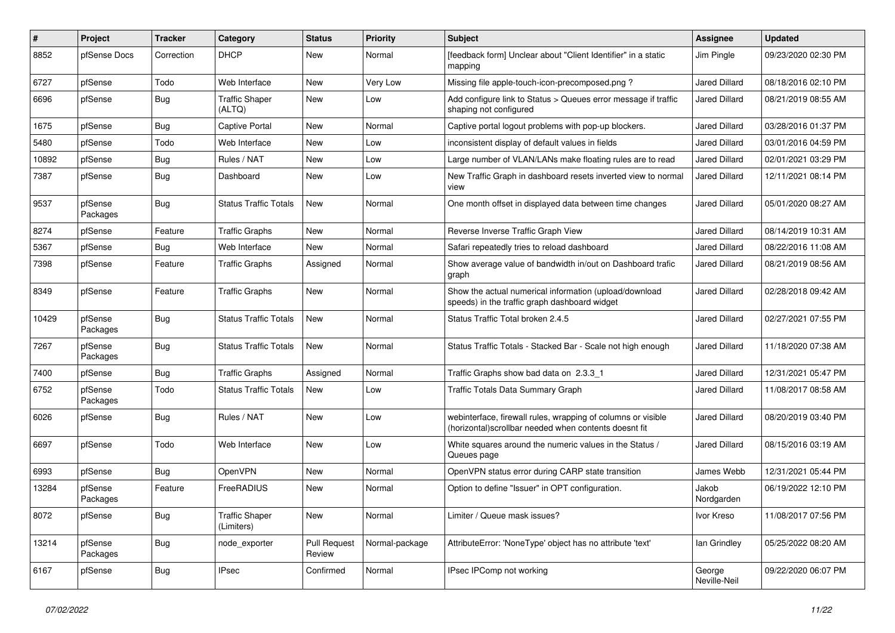| #     | Project             | <b>Tracker</b> | Category                            | <b>Status</b>                 | Priority       | Subject                                                                                                                | <b>Assignee</b>        | <b>Updated</b>      |
|-------|---------------------|----------------|-------------------------------------|-------------------------------|----------------|------------------------------------------------------------------------------------------------------------------------|------------------------|---------------------|
| 8852  | pfSense Docs        | Correction     | <b>DHCP</b>                         | New                           | Normal         | [feedback form] Unclear about "Client Identifier" in a static<br>mapping                                               | Jim Pingle             | 09/23/2020 02:30 PM |
| 6727  | pfSense             | Todo           | Web Interface                       | New                           | Very Low       | Missing file apple-touch-icon-precomposed.png?                                                                         | <b>Jared Dillard</b>   | 08/18/2016 02:10 PM |
| 6696  | pfSense             | Bug            | <b>Traffic Shaper</b><br>(ALTQ)     | New                           | Low            | Add configure link to Status > Queues error message if traffic<br>shaping not configured                               | <b>Jared Dillard</b>   | 08/21/2019 08:55 AM |
| 1675  | pfSense             | Bug            | <b>Captive Portal</b>               | New                           | Normal         | Captive portal logout problems with pop-up blockers.                                                                   | <b>Jared Dillard</b>   | 03/28/2016 01:37 PM |
| 5480  | pfSense             | Todo           | Web Interface                       | New                           | Low            | inconsistent display of default values in fields                                                                       | Jared Dillard          | 03/01/2016 04:59 PM |
| 10892 | pfSense             | Bug            | Rules / NAT                         | New                           | Low            | Large number of VLAN/LANs make floating rules are to read                                                              | <b>Jared Dillard</b>   | 02/01/2021 03:29 PM |
| 7387  | pfSense             | Bug            | Dashboard                           | New                           | Low            | New Traffic Graph in dashboard resets inverted view to normal<br>view                                                  | <b>Jared Dillard</b>   | 12/11/2021 08:14 PM |
| 9537  | pfSense<br>Packages | <b>Bug</b>     | <b>Status Traffic Totals</b>        | New                           | Normal         | One month offset in displayed data between time changes                                                                | <b>Jared Dillard</b>   | 05/01/2020 08:27 AM |
| 8274  | pfSense             | Feature        | <b>Traffic Graphs</b>               | <b>New</b>                    | Normal         | Reverse Inverse Traffic Graph View                                                                                     | <b>Jared Dillard</b>   | 08/14/2019 10:31 AM |
| 5367  | pfSense             | Bug            | Web Interface                       | New                           | Normal         | Safari repeatedly tries to reload dashboard                                                                            | <b>Jared Dillard</b>   | 08/22/2016 11:08 AM |
| 7398  | pfSense             | Feature        | <b>Traffic Graphs</b>               | Assigned                      | Normal         | Show average value of bandwidth in/out on Dashboard trafic<br>graph                                                    | <b>Jared Dillard</b>   | 08/21/2019 08:56 AM |
| 8349  | pfSense             | Feature        | <b>Traffic Graphs</b>               | <b>New</b>                    | Normal         | Show the actual numerical information (upload/download<br>speeds) in the traffic graph dashboard widget                | Jared Dillard          | 02/28/2018 09:42 AM |
| 10429 | pfSense<br>Packages | <b>Bug</b>     | <b>Status Traffic Totals</b>        | <b>New</b>                    | Normal         | Status Traffic Total broken 2.4.5                                                                                      | <b>Jared Dillard</b>   | 02/27/2021 07:55 PM |
| 7267  | pfSense<br>Packages | <b>Bug</b>     | <b>Status Traffic Totals</b>        | <b>New</b>                    | Normal         | Status Traffic Totals - Stacked Bar - Scale not high enough                                                            | <b>Jared Dillard</b>   | 11/18/2020 07:38 AM |
| 7400  | pfSense             | <b>Bug</b>     | <b>Traffic Graphs</b>               | Assigned                      | Normal         | Traffic Graphs show bad data on 2.3.3 1                                                                                | <b>Jared Dillard</b>   | 12/31/2021 05:47 PM |
| 6752  | pfSense<br>Packages | Todo           | <b>Status Traffic Totals</b>        | New                           | Low            | Traffic Totals Data Summary Graph                                                                                      | Jared Dillard          | 11/08/2017 08:58 AM |
| 6026  | pfSense             | Bug            | Rules / NAT                         | <b>New</b>                    | Low            | webinterface, firewall rules, wrapping of columns or visible<br>(horizontal) scrollbar needed when contents doesnt fit | <b>Jared Dillard</b>   | 08/20/2019 03:40 PM |
| 6697  | pfSense             | Todo           | Web Interface                       | <b>New</b>                    | Low            | White squares around the numeric values in the Status /<br>Queues page                                                 | Jared Dillard          | 08/15/2016 03:19 AM |
| 6993  | pfSense             | <b>Bug</b>     | OpenVPN                             | <b>New</b>                    | Normal         | OpenVPN status error during CARP state transition                                                                      | James Webb             | 12/31/2021 05:44 PM |
| 13284 | pfSense<br>Packages | Feature        | FreeRADIUS                          | New                           | Normal         | Option to define "Issuer" in OPT configuration.                                                                        | Jakob<br>Nordgarden    | 06/19/2022 12:10 PM |
| 8072  | pfSense             | <b>Bug</b>     | <b>Traffic Shaper</b><br>(Limiters) | New                           | Normal         | Limiter / Queue mask issues?                                                                                           | Ivor Kreso             | 11/08/2017 07:56 PM |
| 13214 | pfSense<br>Packages | Bug            | node_exporter                       | <b>Pull Request</b><br>Review | Normal-package | AttributeError: 'NoneType' object has no attribute 'text'                                                              | lan Grindley           | 05/25/2022 08:20 AM |
| 6167  | pfSense             | <b>Bug</b>     | <b>IPsec</b>                        | Confirmed                     | Normal         | IPsec IPComp not working                                                                                               | George<br>Neville-Neil | 09/22/2020 06:07 PM |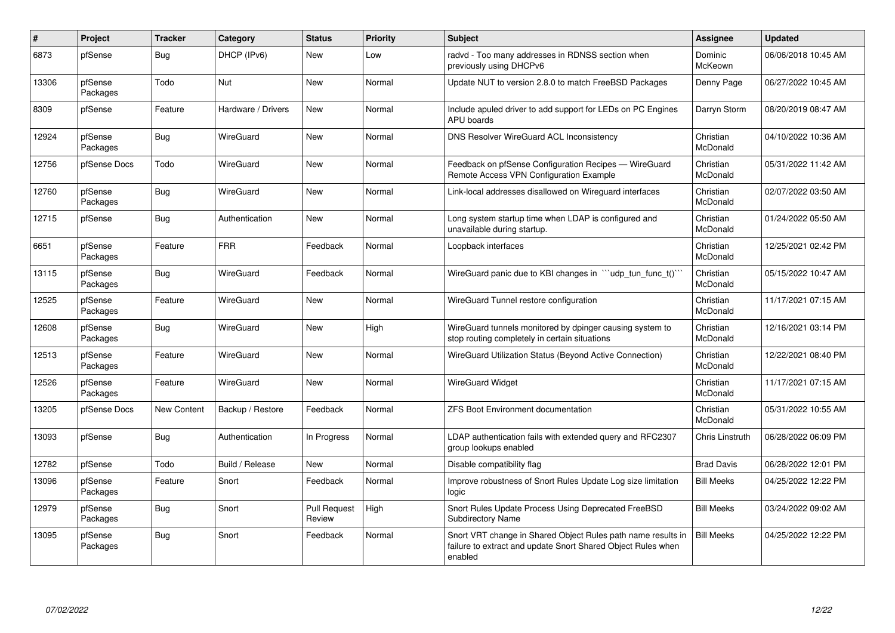| $\pmb{\sharp}$ | <b>Project</b>      | <b>Tracker</b> | Category           | <b>Status</b>                 | Priority | <b>Subject</b>                                                                                                                          | Assignee              | <b>Updated</b>      |
|----------------|---------------------|----------------|--------------------|-------------------------------|----------|-----------------------------------------------------------------------------------------------------------------------------------------|-----------------------|---------------------|
| 6873           | pfSense             | Bug            | DHCP (IPv6)        | <b>New</b>                    | Low      | radvd - Too many addresses in RDNSS section when<br>previously using DHCPv6                                                             | Dominic<br>McKeown    | 06/06/2018 10:45 AM |
| 13306          | pfSense<br>Packages | Todo           | Nut                | New                           | Normal   | Update NUT to version 2.8.0 to match FreeBSD Packages                                                                                   | Denny Page            | 06/27/2022 10:45 AM |
| 8309           | pfSense             | Feature        | Hardware / Drivers | New                           | Normal   | Include apuled driver to add support for LEDs on PC Engines<br><b>APU</b> boards                                                        | Darryn Storm          | 08/20/2019 08:47 AM |
| 12924          | pfSense<br>Packages | Bug            | WireGuard          | New                           | Normal   | <b>DNS Resolver WireGuard ACL Inconsistency</b>                                                                                         | Christian<br>McDonald | 04/10/2022 10:36 AM |
| 12756          | pfSense Docs        | Todo           | WireGuard          | <b>New</b>                    | Normal   | Feedback on pfSense Configuration Recipes - WireGuard<br>Remote Access VPN Configuration Example                                        | Christian<br>McDonald | 05/31/2022 11:42 AM |
| 12760          | pfSense<br>Packages | Bug            | WireGuard          | <b>New</b>                    | Normal   | Link-local addresses disallowed on Wireguard interfaces                                                                                 | Christian<br>McDonald | 02/07/2022 03:50 AM |
| 12715          | pfSense             | Bug            | Authentication     | New                           | Normal   | Long system startup time when LDAP is configured and<br>unavailable during startup.                                                     | Christian<br>McDonald | 01/24/2022 05:50 AM |
| 6651           | pfSense<br>Packages | Feature        | <b>FRR</b>         | Feedback                      | Normal   | Loopback interfaces                                                                                                                     | Christian<br>McDonald | 12/25/2021 02:42 PM |
| 13115          | pfSense<br>Packages | Bug            | WireGuard          | Feedback                      | Normal   | Wire Guard panic due to KBI changes in $\ddot{\,}$ udp tun func t() $\ddot{\,}$                                                         | Christian<br>McDonald | 05/15/2022 10:47 AM |
| 12525          | pfSense<br>Packages | Feature        | WireGuard          | <b>New</b>                    | Normal   | WireGuard Tunnel restore configuration                                                                                                  | Christian<br>McDonald | 11/17/2021 07:15 AM |
| 12608          | pfSense<br>Packages | Bug            | WireGuard          | <b>New</b>                    | High     | WireGuard tunnels monitored by dpinger causing system to<br>stop routing completely in certain situations                               | Christian<br>McDonald | 12/16/2021 03:14 PM |
| 12513          | pfSense<br>Packages | Feature        | WireGuard          | New                           | Normal   | WireGuard Utilization Status (Beyond Active Connection)                                                                                 | Christian<br>McDonald | 12/22/2021 08:40 PM |
| 12526          | pfSense<br>Packages | Feature        | <b>WireGuard</b>   | <b>New</b>                    | Normal   | <b>WireGuard Widget</b>                                                                                                                 | Christian<br>McDonald | 11/17/2021 07:15 AM |
| 13205          | pfSense Docs        | New Content    | Backup / Restore   | Feedback                      | Normal   | <b>ZFS Boot Environment documentation</b>                                                                                               | Christian<br>McDonald | 05/31/2022 10:55 AM |
| 13093          | pfSense             | <b>Bug</b>     | Authentication     | In Progress                   | Normal   | LDAP authentication fails with extended query and RFC2307<br>group lookups enabled                                                      | Chris Linstruth       | 06/28/2022 06:09 PM |
| 12782          | pfSense             | Todo           | Build / Release    | <b>New</b>                    | Normal   | Disable compatibility flag                                                                                                              | <b>Brad Davis</b>     | 06/28/2022 12:01 PM |
| 13096          | pfSense<br>Packages | Feature        | Snort              | Feedback                      | Normal   | Improve robustness of Snort Rules Update Log size limitation<br>logic                                                                   | <b>Bill Meeks</b>     | 04/25/2022 12:22 PM |
| 12979          | pfSense<br>Packages | <b>Bug</b>     | Snort              | <b>Pull Request</b><br>Review | High     | Snort Rules Update Process Using Deprecated FreeBSD<br><b>Subdirectory Name</b>                                                         | <b>Bill Meeks</b>     | 03/24/2022 09:02 AM |
| 13095          | pfSense<br>Packages | Bug            | Snort              | Feedback                      | Normal   | Snort VRT change in Shared Object Rules path name results in<br>failure to extract and update Snort Shared Object Rules when<br>enabled | <b>Bill Meeks</b>     | 04/25/2022 12:22 PM |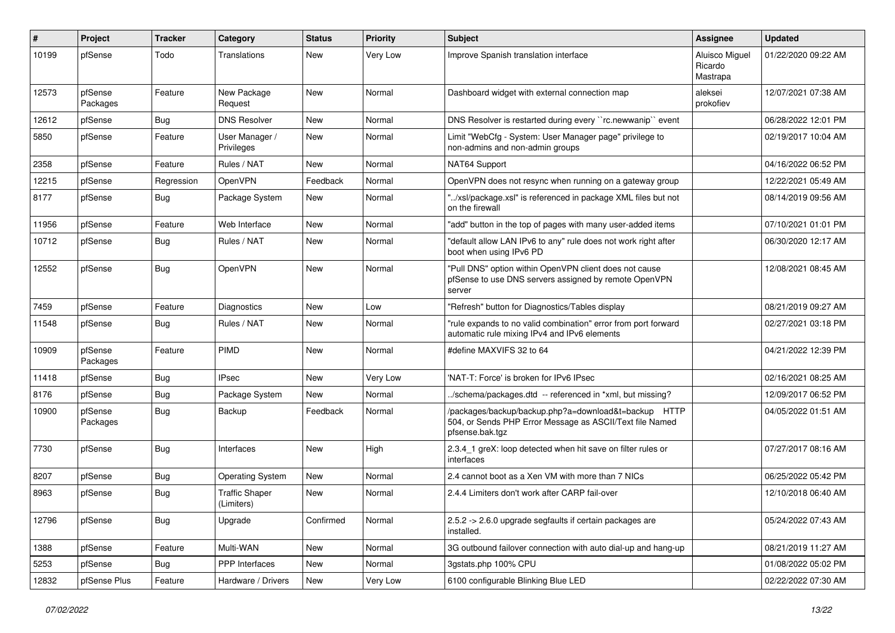| #     | Project             | <b>Tracker</b> | Category                            | <b>Status</b> | <b>Priority</b> | Subject                                                                                                                             | Assignee                              | <b>Updated</b>      |
|-------|---------------------|----------------|-------------------------------------|---------------|-----------------|-------------------------------------------------------------------------------------------------------------------------------------|---------------------------------------|---------------------|
| 10199 | pfSense             | Todo           | Translations                        | New           | Very Low        | Improve Spanish translation interface                                                                                               | Aluisco Miguel<br>Ricardo<br>Mastrapa | 01/22/2020 09:22 AM |
| 12573 | pfSense<br>Packages | Feature        | New Package<br>Request              | New           | Normal          | Dashboard widget with external connection map                                                                                       | aleksei<br>prokofiev                  | 12/07/2021 07:38 AM |
| 12612 | pfSense             | Bug            | <b>DNS Resolver</b>                 | New           | Normal          | DNS Resolver is restarted during every "rc.newwanip" event                                                                          |                                       | 06/28/2022 12:01 PM |
| 5850  | pfSense             | Feature        | User Manager /<br>Privileges        | New           | Normal          | Limit "WebCfg - System: User Manager page" privilege to<br>non-admins and non-admin groups                                          |                                       | 02/19/2017 10:04 AM |
| 2358  | pfSense             | Feature        | Rules / NAT                         | New           | Normal          | NAT64 Support                                                                                                                       |                                       | 04/16/2022 06:52 PM |
| 12215 | pfSense             | Regression     | OpenVPN                             | Feedback      | Normal          | OpenVPN does not resync when running on a gateway group                                                                             |                                       | 12/22/2021 05:49 AM |
| 8177  | pfSense             | Bug            | Package System                      | New           | Normal          | "/xsl/package.xsl" is referenced in package XML files but not<br>on the firewall                                                    |                                       | 08/14/2019 09:56 AM |
| 11956 | pfSense             | Feature        | Web Interface                       | New           | Normal          | "add" button in the top of pages with many user-added items                                                                         |                                       | 07/10/2021 01:01 PM |
| 10712 | pfSense             | Bug            | Rules / NAT                         | New           | Normal          | "default allow LAN IPv6 to any" rule does not work right after<br>boot when using IPv6 PD                                           |                                       | 06/30/2020 12:17 AM |
| 12552 | pfSense             | <b>Bug</b>     | OpenVPN                             | <b>New</b>    | Normal          | "Pull DNS" option within OpenVPN client does not cause<br>pfSense to use DNS servers assigned by remote OpenVPN<br>server           |                                       | 12/08/2021 08:45 AM |
| 7459  | pfSense             | Feature        | Diagnostics                         | <b>New</b>    | Low             | "Refresh" button for Diagnostics/Tables display                                                                                     |                                       | 08/21/2019 09:27 AM |
| 11548 | pfSense             | Bug            | Rules / NAT                         | New           | Normal          | "rule expands to no valid combination" error from port forward<br>automatic rule mixing IPv4 and IPv6 elements                      |                                       | 02/27/2021 03:18 PM |
| 10909 | pfSense<br>Packages | Feature        | <b>PIMD</b>                         | New           | Normal          | #define MAXVIFS 32 to 64                                                                                                            |                                       | 04/21/2022 12:39 PM |
| 11418 | pfSense             | <b>Bug</b>     | <b>IPsec</b>                        | New           | Very Low        | 'NAT-T: Force' is broken for IPv6 IPsec                                                                                             |                                       | 02/16/2021 08:25 AM |
| 8176  | pfSense             | Bug            | Package System                      | New           | Normal          | /schema/packages.dtd -- referenced in *xml, but missing?                                                                            |                                       | 12/09/2017 06:52 PM |
| 10900 | pfSense<br>Packages | Bug            | Backup                              | Feedback      | Normal          | /packages/backup/backup.php?a=download&t=backup HTTP<br>504, or Sends PHP Error Message as ASCII/Text file Named<br>pfsense.bak.tgz |                                       | 04/05/2022 01:51 AM |
| 7730  | pfSense             | Bug            | Interfaces                          | New           | High            | 2.3.4_1 greX: loop detected when hit save on filter rules or<br>interfaces                                                          |                                       | 07/27/2017 08:16 AM |
| 8207  | pfSense             | <b>Bug</b>     | <b>Operating System</b>             | New           | Normal          | 2.4 cannot boot as a Xen VM with more than 7 NICs                                                                                   |                                       | 06/25/2022 05:42 PM |
| 8963  | pfSense             | Bug            | <b>Traffic Shaper</b><br>(Limiters) | New           | Normal          | 2.4.4 Limiters don't work after CARP fail-over                                                                                      |                                       | 12/10/2018 06:40 AM |
| 12796 | pfSense             | <b>Bug</b>     | Upgrade                             | Confirmed     | Normal          | 2.5.2 -> 2.6.0 upgrade segfaults if certain packages are<br>installed.                                                              |                                       | 05/24/2022 07:43 AM |
| 1388  | pfSense             | Feature        | Multi-WAN                           | New           | Normal          | 3G outbound failover connection with auto dial-up and hang-up                                                                       |                                       | 08/21/2019 11:27 AM |
| 5253  | pfSense             | <b>Bug</b>     | PPP Interfaces                      | New           | Normal          | 3gstats.php 100% CPU                                                                                                                |                                       | 01/08/2022 05:02 PM |
| 12832 | pfSense Plus        | Feature        | Hardware / Drivers                  | New           | Very Low        | 6100 configurable Blinking Blue LED                                                                                                 |                                       | 02/22/2022 07:30 AM |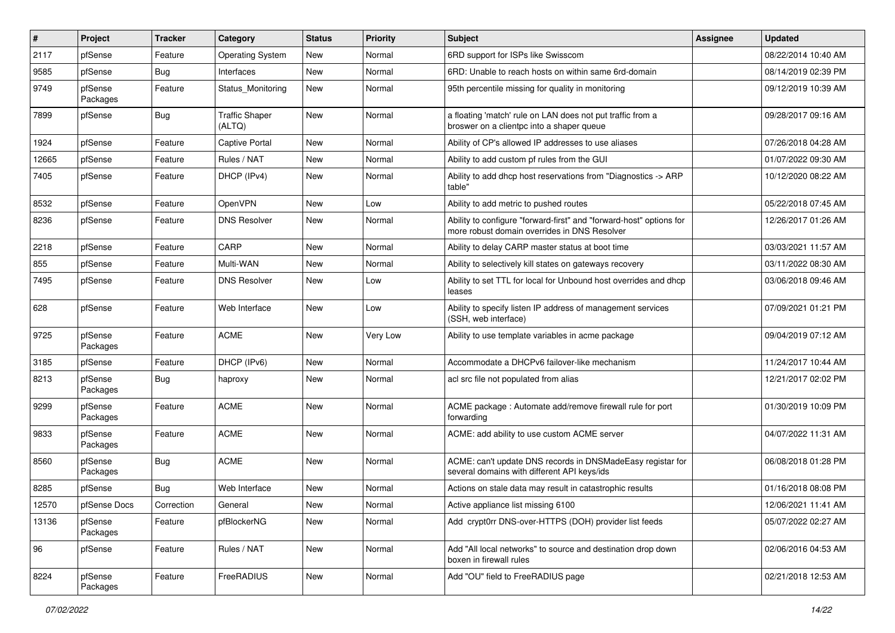| ∦     | Project             | <b>Tracker</b> | Category                        | <b>Status</b> | Priority | <b>Subject</b>                                                                                                      | <b>Assignee</b> | <b>Updated</b>      |
|-------|---------------------|----------------|---------------------------------|---------------|----------|---------------------------------------------------------------------------------------------------------------------|-----------------|---------------------|
| 2117  | pfSense             | Feature        | <b>Operating System</b>         | New           | Normal   | 6RD support for ISPs like Swisscom                                                                                  |                 | 08/22/2014 10:40 AM |
| 9585  | pfSense             | Bug            | Interfaces                      | <b>New</b>    | Normal   | 6RD: Unable to reach hosts on within same 6rd-domain                                                                |                 | 08/14/2019 02:39 PM |
| 9749  | pfSense<br>Packages | Feature        | Status Monitoring               | New           | Normal   | 95th percentile missing for quality in monitoring                                                                   |                 | 09/12/2019 10:39 AM |
| 7899  | pfSense             | Bug            | <b>Traffic Shaper</b><br>(ALTQ) | New           | Normal   | a floating 'match' rule on LAN does not put traffic from a<br>broswer on a clientpc into a shaper queue             |                 | 09/28/2017 09:16 AM |
| 1924  | pfSense             | Feature        | <b>Captive Portal</b>           | New           | Normal   | Ability of CP's allowed IP addresses to use aliases                                                                 |                 | 07/26/2018 04:28 AM |
| 12665 | pfSense             | Feature        | Rules / NAT                     | New           | Normal   | Ability to add custom pf rules from the GUI                                                                         |                 | 01/07/2022 09:30 AM |
| 7405  | pfSense             | Feature        | DHCP (IPv4)                     | New           | Normal   | Ability to add dhcp host reservations from "Diagnostics -> ARP<br>table"                                            |                 | 10/12/2020 08:22 AM |
| 8532  | pfSense             | Feature        | <b>OpenVPN</b>                  | New           | Low      | Ability to add metric to pushed routes                                                                              |                 | 05/22/2018 07:45 AM |
| 8236  | pfSense             | Feature        | <b>DNS Resolver</b>             | New           | Normal   | Ability to configure "forward-first" and "forward-host" options for<br>more robust domain overrides in DNS Resolver |                 | 12/26/2017 01:26 AM |
| 2218  | pfSense             | Feature        | CARP                            | New           | Normal   | Ability to delay CARP master status at boot time                                                                    |                 | 03/03/2021 11:57 AM |
| 855   | pfSense             | Feature        | Multi-WAN                       | New           | Normal   | Ability to selectively kill states on gateways recovery                                                             |                 | 03/11/2022 08:30 AM |
| 7495  | pfSense             | Feature        | <b>DNS Resolver</b>             | New           | Low      | Ability to set TTL for local for Unbound host overrides and dhcp<br>leases                                          |                 | 03/06/2018 09:46 AM |
| 628   | pfSense             | Feature        | Web Interface                   | New           | Low      | Ability to specify listen IP address of management services<br>(SSH, web interface)                                 |                 | 07/09/2021 01:21 PM |
| 9725  | pfSense<br>Packages | Feature        | <b>ACME</b>                     | New           | Very Low | Ability to use template variables in acme package                                                                   |                 | 09/04/2019 07:12 AM |
| 3185  | pfSense             | Feature        | DHCP (IPv6)                     | New           | Normal   | Accommodate a DHCPv6 failover-like mechanism                                                                        |                 | 11/24/2017 10:44 AM |
| 8213  | pfSense<br>Packages | <b>Bug</b>     | haproxy                         | New           | Normal   | acl src file not populated from alias                                                                               |                 | 12/21/2017 02:02 PM |
| 9299  | pfSense<br>Packages | Feature        | <b>ACME</b>                     | New           | Normal   | ACME package : Automate add/remove firewall rule for port<br>forwarding                                             |                 | 01/30/2019 10:09 PM |
| 9833  | pfSense<br>Packages | Feature        | <b>ACME</b>                     | <b>New</b>    | Normal   | ACME: add ability to use custom ACME server                                                                         |                 | 04/07/2022 11:31 AM |
| 8560  | pfSense<br>Packages | Bug            | <b>ACME</b>                     | New           | Normal   | ACME: can't update DNS records in DNSMadeEasy registar for<br>several domains with different API keys/ids           |                 | 06/08/2018 01:28 PM |
| 8285  | pfSense             | Bug            | Web Interface                   | New           | Normal   | Actions on stale data may result in catastrophic results                                                            |                 | 01/16/2018 08:08 PM |
| 12570 | pfSense Docs        | Correction     | General                         | New           | Normal   | Active appliance list missing 6100                                                                                  |                 | 12/06/2021 11:41 AM |
| 13136 | pfSense<br>Packages | Feature        | pfBlockerNG                     | New           | Normal   | Add crypt0rr DNS-over-HTTPS (DOH) provider list feeds                                                               |                 | 05/07/2022 02:27 AM |
| 96    | pfSense             | Feature        | Rules / NAT                     | New           | Normal   | Add "All local networks" to source and destination drop down<br>boxen in firewall rules                             |                 | 02/06/2016 04:53 AM |
| 8224  | pfSense<br>Packages | Feature        | FreeRADIUS                      | New           | Normal   | Add "OU" field to FreeRADIUS page                                                                                   |                 | 02/21/2018 12:53 AM |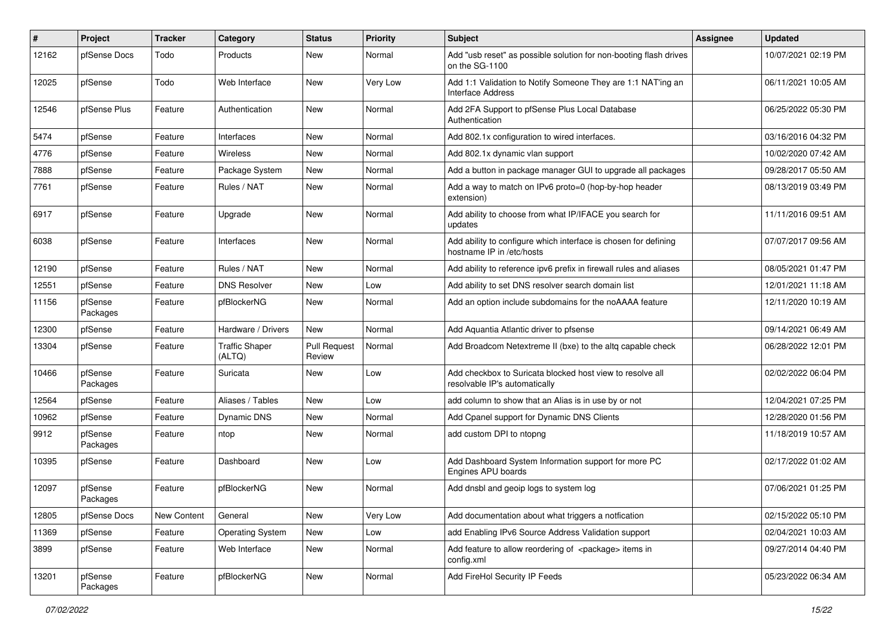| #     | Project             | <b>Tracker</b> | Category                        | <b>Status</b>                 | Priority | <b>Subject</b>                                                                               | Assignee | <b>Updated</b>      |
|-------|---------------------|----------------|---------------------------------|-------------------------------|----------|----------------------------------------------------------------------------------------------|----------|---------------------|
| 12162 | pfSense Docs        | Todo           | Products                        | New                           | Normal   | Add "usb reset" as possible solution for non-booting flash drives<br>on the SG-1100          |          | 10/07/2021 02:19 PM |
| 12025 | pfSense             | Todo           | Web Interface                   | New                           | Very Low | Add 1:1 Validation to Notify Someone They are 1:1 NAT'ing an<br><b>Interface Address</b>     |          | 06/11/2021 10:05 AM |
| 12546 | pfSense Plus        | Feature        | Authentication                  | New                           | Normal   | Add 2FA Support to pfSense Plus Local Database<br>Authentication                             |          | 06/25/2022 05:30 PM |
| 5474  | pfSense             | Feature        | Interfaces                      | New                           | Normal   | Add 802.1x configuration to wired interfaces.                                                |          | 03/16/2016 04:32 PM |
| 4776  | pfSense             | Feature        | <b>Wireless</b>                 | New                           | Normal   | Add 802.1x dynamic vlan support                                                              |          | 10/02/2020 07:42 AM |
| 7888  | pfSense             | Feature        | Package System                  | New                           | Normal   | Add a button in package manager GUI to upgrade all packages                                  |          | 09/28/2017 05:50 AM |
| 7761  | pfSense             | Feature        | Rules / NAT                     | New                           | Normal   | Add a way to match on IPv6 proto=0 (hop-by-hop header<br>extension)                          |          | 08/13/2019 03:49 PM |
| 6917  | pfSense             | Feature        | Upgrade                         | New                           | Normal   | Add ability to choose from what IP/IFACE you search for<br>updates                           |          | 11/11/2016 09:51 AM |
| 6038  | pfSense             | Feature        | Interfaces                      | New                           | Normal   | Add ability to configure which interface is chosen for defining<br>hostname IP in /etc/hosts |          | 07/07/2017 09:56 AM |
| 12190 | pfSense             | Feature        | Rules / NAT                     | New                           | Normal   | Add ability to reference ipv6 prefix in firewall rules and aliases                           |          | 08/05/2021 01:47 PM |
| 12551 | pfSense             | Feature        | <b>DNS Resolver</b>             | New                           | Low      | Add ability to set DNS resolver search domain list                                           |          | 12/01/2021 11:18 AM |
| 11156 | pfSense<br>Packages | Feature        | pfBlockerNG                     | New                           | Normal   | Add an option include subdomains for the noAAAA feature                                      |          | 12/11/2020 10:19 AM |
| 12300 | pfSense             | Feature        | Hardware / Drivers              | New                           | Normal   | Add Aquantia Atlantic driver to pfsense                                                      |          | 09/14/2021 06:49 AM |
| 13304 | pfSense             | Feature        | <b>Traffic Shaper</b><br>(ALTQ) | <b>Pull Request</b><br>Review | Normal   | Add Broadcom Netextreme II (bxe) to the altq capable check                                   |          | 06/28/2022 12:01 PM |
| 10466 | pfSense<br>Packages | Feature        | Suricata                        | New                           | Low      | Add checkbox to Suricata blocked host view to resolve all<br>resolvable IP's automatically   |          | 02/02/2022 06:04 PM |
| 12564 | pfSense             | Feature        | Aliases / Tables                | New                           | Low      | add column to show that an Alias is in use by or not                                         |          | 12/04/2021 07:25 PM |
| 10962 | pfSense             | Feature        | Dynamic DNS                     | New                           | Normal   | Add Cpanel support for Dynamic DNS Clients                                                   |          | 12/28/2020 01:56 PM |
| 9912  | pfSense<br>Packages | Feature        | ntop                            | New                           | Normal   | add custom DPI to ntopng                                                                     |          | 11/18/2019 10:57 AM |
| 10395 | pfSense             | Feature        | Dashboard                       | New                           | Low      | Add Dashboard System Information support for more PC<br>Engines APU boards                   |          | 02/17/2022 01:02 AM |
| 12097 | pfSense<br>Packages | Feature        | pfBlockerNG                     | New                           | Normal   | Add dnsbl and geoip logs to system log                                                       |          | 07/06/2021 01:25 PM |
| 12805 | pfSense Docs        | New Content    | General                         | New                           | Very Low | Add documentation about what triggers a notfication                                          |          | 02/15/2022 05:10 PM |
| 11369 | pfSense             | Feature        | <b>Operating System</b>         | New                           | Low      | add Enabling IPv6 Source Address Validation support                                          |          | 02/04/2021 10:03 AM |
| 3899  | pfSense             | Feature        | Web Interface                   | New                           | Normal   | Add feature to allow reordering of <package> items in<br/>config.xml</package>               |          | 09/27/2014 04:40 PM |
| 13201 | pfSense<br>Packages | Feature        | pfBlockerNG                     | New                           | Normal   | Add FireHol Security IP Feeds                                                                |          | 05/23/2022 06:34 AM |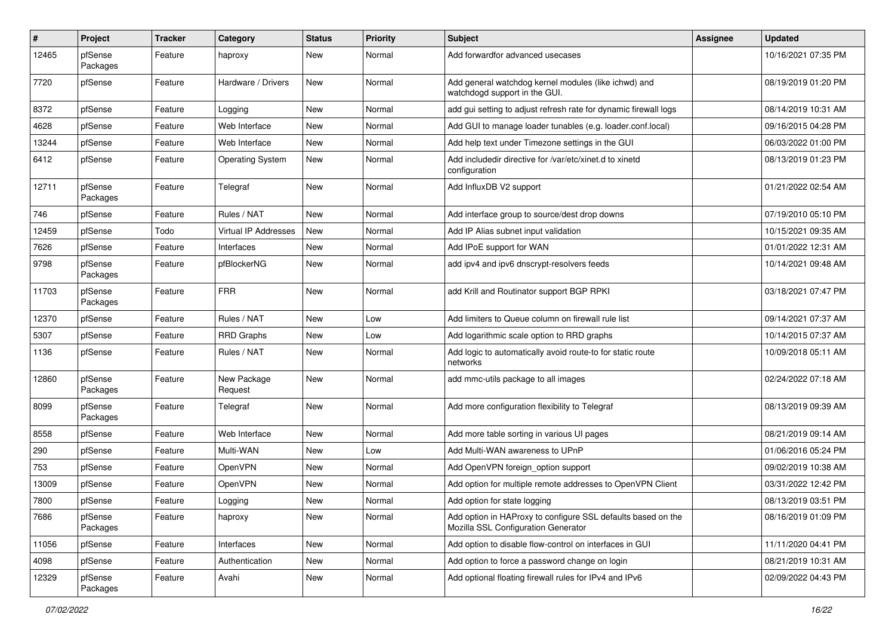| $\#$  | Project             | <b>Tracker</b> | Category                    | <b>Status</b> | Priority | <b>Subject</b>                                                                                      | <b>Assignee</b> | <b>Updated</b>      |
|-------|---------------------|----------------|-----------------------------|---------------|----------|-----------------------------------------------------------------------------------------------------|-----------------|---------------------|
| 12465 | pfSense<br>Packages | Feature        | haproxy                     | New           | Normal   | Add forwardfor advanced usecases                                                                    |                 | 10/16/2021 07:35 PM |
| 7720  | pfSense             | Feature        | Hardware / Drivers          | New           | Normal   | Add general watchdog kernel modules (like ichwd) and<br>watchdogd support in the GUI.               |                 | 08/19/2019 01:20 PM |
| 8372  | pfSense             | Feature        | Logging                     | <b>New</b>    | Normal   | add gui setting to adjust refresh rate for dynamic firewall logs                                    |                 | 08/14/2019 10:31 AM |
| 4628  | pfSense             | Feature        | Web Interface               | New           | Normal   | Add GUI to manage loader tunables (e.g. loader.conf.local)                                          |                 | 09/16/2015 04:28 PM |
| 13244 | pfSense             | Feature        | Web Interface               | New           | Normal   | Add help text under Timezone settings in the GUI                                                    |                 | 06/03/2022 01:00 PM |
| 6412  | pfSense             | Feature        | <b>Operating System</b>     | New           | Normal   | Add includedir directive for /var/etc/xinet.d to xinetd<br>configuration                            |                 | 08/13/2019 01:23 PM |
| 12711 | pfSense<br>Packages | Feature        | Telegraf                    | New           | Normal   | Add InfluxDB V2 support                                                                             |                 | 01/21/2022 02:54 AM |
| 746   | pfSense             | Feature        | Rules / NAT                 | <b>New</b>    | Normal   | Add interface group to source/dest drop downs                                                       |                 | 07/19/2010 05:10 PM |
| 12459 | pfSense             | Todo           | <b>Virtual IP Addresses</b> | <b>New</b>    | Normal   | Add IP Alias subnet input validation                                                                |                 | 10/15/2021 09:35 AM |
| 7626  | pfSense             | Feature        | Interfaces                  | New           | Normal   | Add IPoE support for WAN                                                                            |                 | 01/01/2022 12:31 AM |
| 9798  | pfSense<br>Packages | Feature        | pfBlockerNG                 | New           | Normal   | add ipv4 and ipv6 dnscrypt-resolvers feeds                                                          |                 | 10/14/2021 09:48 AM |
| 11703 | pfSense<br>Packages | Feature        | <b>FRR</b>                  | New           | Normal   | add Krill and Routinator support BGP RPKI                                                           |                 | 03/18/2021 07:47 PM |
| 12370 | pfSense             | Feature        | Rules / NAT                 | New           | Low      | Add limiters to Queue column on firewall rule list                                                  |                 | 09/14/2021 07:37 AM |
| 5307  | pfSense             | Feature        | <b>RRD Graphs</b>           | New           | Low      | Add logarithmic scale option to RRD graphs                                                          |                 | 10/14/2015 07:37 AM |
| 1136  | pfSense             | Feature        | Rules / NAT                 | New           | Normal   | Add logic to automatically avoid route-to for static route<br>networks                              |                 | 10/09/2018 05:11 AM |
| 12860 | pfSense<br>Packages | Feature        | New Package<br>Request      | New           | Normal   | add mmc-utils package to all images                                                                 |                 | 02/24/2022 07:18 AM |
| 8099  | pfSense<br>Packages | Feature        | Telegraf                    | New           | Normal   | Add more configuration flexibility to Telegraf                                                      |                 | 08/13/2019 09:39 AM |
| 8558  | pfSense             | Feature        | Web Interface               | <b>New</b>    | Normal   | Add more table sorting in various UI pages                                                          |                 | 08/21/2019 09:14 AM |
| 290   | pfSense             | Feature        | Multi-WAN                   | New           | Low      | Add Multi-WAN awareness to UPnP                                                                     |                 | 01/06/2016 05:24 PM |
| 753   | pfSense             | Feature        | <b>OpenVPN</b>              | New           | Normal   | Add OpenVPN foreign_option support                                                                  |                 | 09/02/2019 10:38 AM |
| 13009 | pfSense             | Feature        | OpenVPN                     | New           | Normal   | Add option for multiple remote addresses to OpenVPN Client                                          |                 | 03/31/2022 12:42 PM |
| 7800  | pfSense             | Feature        | Logging                     | New           | Normal   | Add option for state logging                                                                        |                 | 08/13/2019 03:51 PM |
| 7686  | pfSense<br>Packages | Feature        | haproxy                     | New           | Normal   | Add option in HAProxy to configure SSL defaults based on the<br>Mozilla SSL Configuration Generator |                 | 08/16/2019 01:09 PM |
| 11056 | pfSense             | Feature        | Interfaces                  | New           | Normal   | Add option to disable flow-control on interfaces in GUI                                             |                 | 11/11/2020 04:41 PM |
| 4098  | pfSense             | Feature        | Authentication              | New           | Normal   | Add option to force a password change on login                                                      |                 | 08/21/2019 10:31 AM |
| 12329 | pfSense<br>Packages | Feature        | Avahi                       | New           | Normal   | Add optional floating firewall rules for IPv4 and IPv6                                              |                 | 02/09/2022 04:43 PM |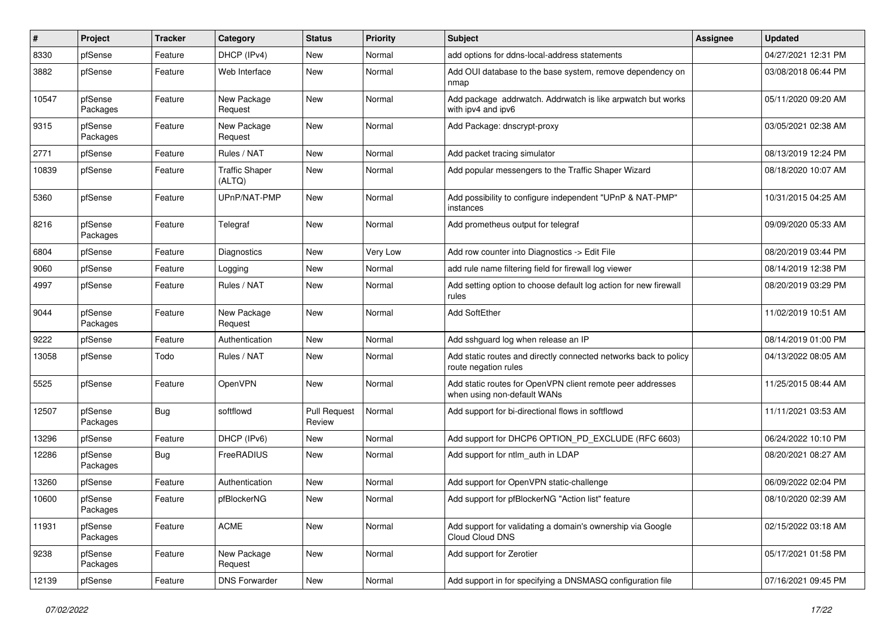| #     | Project             | <b>Tracker</b> | Category                        | <b>Status</b>                 | <b>Priority</b> | Subject                                                                                   | <b>Assignee</b> | <b>Updated</b>      |
|-------|---------------------|----------------|---------------------------------|-------------------------------|-----------------|-------------------------------------------------------------------------------------------|-----------------|---------------------|
| 8330  | pfSense             | Feature        | DHCP (IPv4)                     | New                           | Normal          | add options for ddns-local-address statements                                             |                 | 04/27/2021 12:31 PM |
| 3882  | pfSense             | Feature        | Web Interface                   | New                           | Normal          | Add OUI database to the base system, remove dependency on<br>nmap                         |                 | 03/08/2018 06:44 PM |
| 10547 | pfSense<br>Packages | Feature        | New Package<br>Request          | New                           | Normal          | Add package addrwatch. Addrwatch is like arpwatch but works<br>with ipv4 and ipv6         |                 | 05/11/2020 09:20 AM |
| 9315  | pfSense<br>Packages | Feature        | New Package<br>Request          | New                           | Normal          | Add Package: dnscrypt-proxy                                                               |                 | 03/05/2021 02:38 AM |
| 2771  | pfSense             | Feature        | Rules / NAT                     | New                           | Normal          | Add packet tracing simulator                                                              |                 | 08/13/2019 12:24 PM |
| 10839 | pfSense             | Feature        | <b>Traffic Shaper</b><br>(ALTQ) | New                           | Normal          | Add popular messengers to the Traffic Shaper Wizard                                       |                 | 08/18/2020 10:07 AM |
| 5360  | pfSense             | Feature        | UPnP/NAT-PMP                    | <b>New</b>                    | Normal          | Add possibility to configure independent "UPnP & NAT-PMP"<br>instances                    |                 | 10/31/2015 04:25 AM |
| 8216  | pfSense<br>Packages | Feature        | Telegraf                        | New                           | Normal          | Add prometheus output for telegraf                                                        |                 | 09/09/2020 05:33 AM |
| 6804  | pfSense             | Feature        | <b>Diagnostics</b>              | New                           | Very Low        | Add row counter into Diagnostics -> Edit File                                             |                 | 08/20/2019 03:44 PM |
| 9060  | pfSense             | Feature        | Logging                         | New                           | Normal          | add rule name filtering field for firewall log viewer                                     |                 | 08/14/2019 12:38 PM |
| 4997  | pfSense             | Feature        | Rules / NAT                     | New                           | Normal          | Add setting option to choose default log action for new firewall<br>rules                 |                 | 08/20/2019 03:29 PM |
| 9044  | pfSense<br>Packages | Feature        | New Package<br>Request          | New                           | Normal          | <b>Add SoftEther</b>                                                                      |                 | 11/02/2019 10:51 AM |
| 9222  | pfSense             | Feature        | Authentication                  | New                           | Normal          | Add sshguard log when release an IP                                                       |                 | 08/14/2019 01:00 PM |
| 13058 | pfSense             | Todo           | Rules / NAT                     | New                           | Normal          | Add static routes and directly connected networks back to policy<br>route negation rules  |                 | 04/13/2022 08:05 AM |
| 5525  | pfSense             | Feature        | OpenVPN                         | New                           | Normal          | Add static routes for OpenVPN client remote peer addresses<br>when using non-default WANs |                 | 11/25/2015 08:44 AM |
| 12507 | pfSense<br>Packages | <b>Bug</b>     | softflowd                       | <b>Pull Request</b><br>Review | Normal          | Add support for bi-directional flows in softflowd                                         |                 | 11/11/2021 03:53 AM |
| 13296 | pfSense             | Feature        | DHCP (IPv6)                     | New                           | Normal          | Add support for DHCP6 OPTION_PD_EXCLUDE (RFC 6603)                                        |                 | 06/24/2022 10:10 PM |
| 12286 | pfSense<br>Packages | Bug            | FreeRADIUS                      | New                           | Normal          | Add support for ntlm auth in LDAP                                                         |                 | 08/20/2021 08:27 AM |
| 13260 | pfSense             | Feature        | Authentication                  | New                           | Normal          | Add support for OpenVPN static-challenge                                                  |                 | 06/09/2022 02:04 PM |
| 10600 | pfSense<br>Packages | Feature        | pfBlockerNG                     | New                           | Normal          | Add support for pfBlockerNG "Action list" feature                                         |                 | 08/10/2020 02:39 AM |
| 11931 | pfSense<br>Packages | Feature        | <b>ACME</b>                     | New                           | Normal          | Add support for validating a domain's ownership via Google<br>Cloud Cloud DNS             |                 | 02/15/2022 03:18 AM |
| 9238  | pfSense<br>Packages | Feature        | New Package<br>Request          | New                           | Normal          | Add support for Zerotier                                                                  |                 | 05/17/2021 01:58 PM |
| 12139 | pfSense             | Feature        | <b>DNS Forwarder</b>            | New                           | Normal          | Add support in for specifying a DNSMASQ configuration file                                |                 | 07/16/2021 09:45 PM |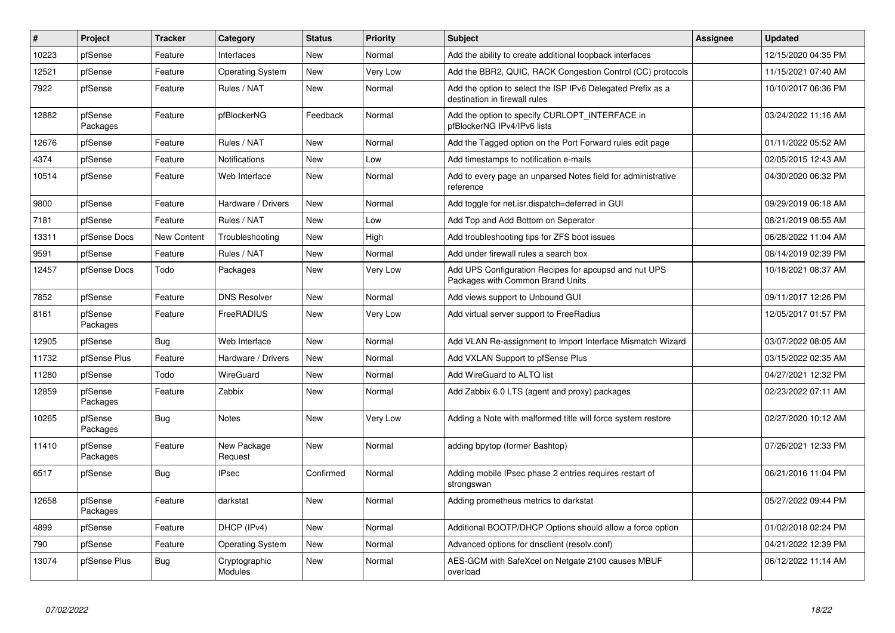| $\sharp$ | Project             | <b>Tracker</b>     | Category                        | <b>Status</b> | Priority        | <b>Subject</b>                                                                               | <b>Assignee</b> | <b>Updated</b>      |
|----------|---------------------|--------------------|---------------------------------|---------------|-----------------|----------------------------------------------------------------------------------------------|-----------------|---------------------|
| 10223    | pfSense             | Feature            | Interfaces                      | <b>New</b>    | Normal          | Add the ability to create additional loopback interfaces                                     |                 | 12/15/2020 04:35 PM |
| 12521    | pfSense             | Feature            | <b>Operating System</b>         | New           | <b>Very Low</b> | Add the BBR2, QUIC, RACK Congestion Control (CC) protocols                                   |                 | 11/15/2021 07:40 AM |
| 7922     | pfSense             | Feature            | Rules / NAT                     | <b>New</b>    | Normal          | Add the option to select the ISP IPv6 Delegated Prefix as a<br>destination in firewall rules |                 | 10/10/2017 06:36 PM |
| 12882    | pfSense<br>Packages | Feature            | pfBlockerNG                     | Feedback      | Normal          | Add the option to specify CURLOPT_INTERFACE in<br>pfBlockerNG IPv4/IPv6 lists                |                 | 03/24/2022 11:16 AM |
| 12676    | pfSense             | Feature            | Rules / NAT                     | <b>New</b>    | Normal          | Add the Tagged option on the Port Forward rules edit page                                    |                 | 01/11/2022 05:52 AM |
| 4374     | pfSense             | Feature            | <b>Notifications</b>            | <b>New</b>    | Low             | Add timestamps to notification e-mails                                                       |                 | 02/05/2015 12:43 AM |
| 10514    | pfSense             | Feature            | Web Interface                   | <b>New</b>    | Normal          | Add to every page an unparsed Notes field for administrative<br>reference                    |                 | 04/30/2020 06:32 PM |
| 9800     | pfSense             | Feature            | Hardware / Drivers              | New           | Normal          | Add toggle for net.isr.dispatch=deferred in GUI                                              |                 | 09/29/2019 06:18 AM |
| 7181     | pfSense             | Feature            | Rules / NAT                     | New           | Low             | Add Top and Add Bottom on Seperator                                                          |                 | 08/21/2019 08:55 AM |
| 13311    | pfSense Docs        | <b>New Content</b> | Troubleshooting                 | New           | High            | Add troubleshooting tips for ZFS boot issues                                                 |                 | 06/28/2022 11:04 AM |
| 9591     | pfSense             | Feature            | Rules / NAT                     | <b>New</b>    | Normal          | Add under firewall rules a search box                                                        |                 | 08/14/2019 02:39 PM |
| 12457    | pfSense Docs        | Todo               | Packages                        | <b>New</b>    | Very Low        | Add UPS Configuration Recipes for apcupsd and nut UPS<br>Packages with Common Brand Units    |                 | 10/18/2021 08:37 AM |
| 7852     | pfSense             | Feature            | <b>DNS Resolver</b>             | New           | Normal          | Add views support to Unbound GUI                                                             |                 | 09/11/2017 12:26 PM |
| 8161     | pfSense<br>Packages | Feature            | <b>FreeRADIUS</b>               | <b>New</b>    | Very Low        | Add virtual server support to FreeRadius                                                     |                 | 12/05/2017 01:57 PM |
| 12905    | pfSense             | <b>Bug</b>         | Web Interface                   | <b>New</b>    | Normal          | Add VLAN Re-assignment to Import Interface Mismatch Wizard                                   |                 | 03/07/2022 08:05 AM |
| 11732    | pfSense Plus        | Feature            | Hardware / Drivers              | New           | Normal          | Add VXLAN Support to pfSense Plus                                                            |                 | 03/15/2022 02:35 AM |
| 11280    | pfSense             | Todo               | WireGuard                       | <b>New</b>    | Normal          | Add WireGuard to ALTQ list                                                                   |                 | 04/27/2021 12:32 PM |
| 12859    | pfSense<br>Packages | Feature            | Zabbix                          | <b>New</b>    | Normal          | Add Zabbix 6.0 LTS (agent and proxy) packages                                                |                 | 02/23/2022 07:11 AM |
| 10265    | pfSense<br>Packages | Bug                | <b>Notes</b>                    | <b>New</b>    | Very Low        | Adding a Note with malformed title will force system restore                                 |                 | 02/27/2020 10:12 AM |
| 11410    | pfSense<br>Packages | Feature            | New Package<br>Request          | New           | Normal          | adding bpytop (former Bashtop)                                                               |                 | 07/26/2021 12:33 PM |
| 6517     | pfSense             | <b>Bug</b>         | <b>IPsec</b>                    | Confirmed     | Normal          | Adding mobile IPsec phase 2 entries requires restart of<br>strongswan                        |                 | 06/21/2016 11:04 PM |
| 12658    | pfSense<br>Packages | Feature            | darkstat                        | <b>New</b>    | Normal          | Adding prometheus metrics to darkstat                                                        |                 | 05/27/2022 09:44 PM |
| 4899     | pfSense             | Feature            | DHCP (IPv4)                     | <b>New</b>    | Normal          | Additional BOOTP/DHCP Options should allow a force option                                    |                 | 01/02/2018 02:24 PM |
| 790      | pfSense             | Feature            | <b>Operating System</b>         | New           | Normal          | Advanced options for dnsclient (resolv.conf)                                                 |                 | 04/21/2022 12:39 PM |
| 13074    | pfSense Plus        | <b>Bug</b>         | Cryptographic<br><b>Modules</b> | <b>New</b>    | Normal          | AES-GCM with SafeXcel on Netgate 2100 causes MBUF<br>overload                                |                 | 06/12/2022 11:14 AM |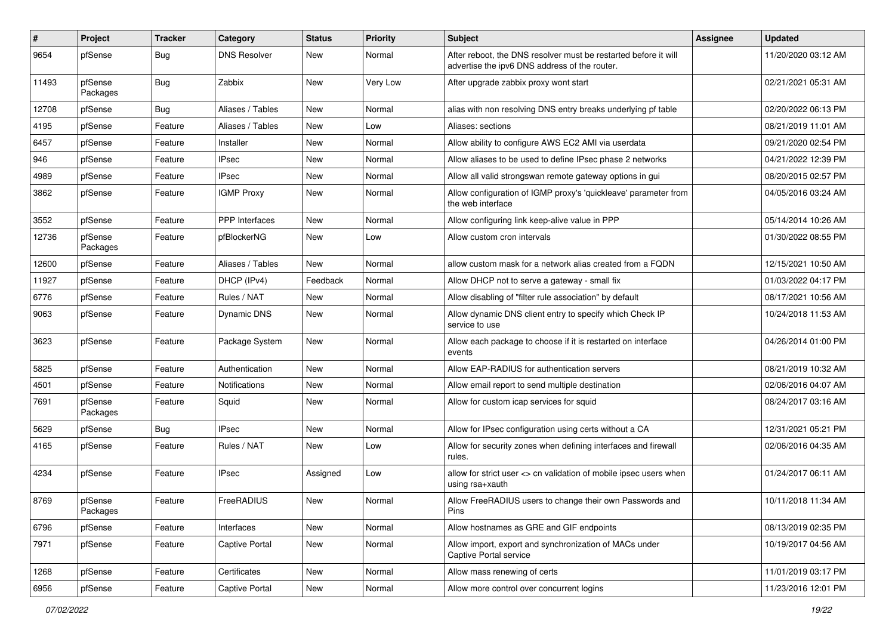| $\vert$ # | Project             | <b>Tracker</b> | Category              | <b>Status</b> | <b>Priority</b> | <b>Subject</b>                                                                                                   | Assignee | <b>Updated</b>      |
|-----------|---------------------|----------------|-----------------------|---------------|-----------------|------------------------------------------------------------------------------------------------------------------|----------|---------------------|
| 9654      | pfSense             | Bug            | <b>DNS Resolver</b>   | New           | Normal          | After reboot, the DNS resolver must be restarted before it will<br>advertise the ipv6 DNS address of the router. |          | 11/20/2020 03:12 AM |
| 11493     | pfSense<br>Packages | Bug            | Zabbix                | New           | Very Low        | After upgrade zabbix proxy wont start                                                                            |          | 02/21/2021 05:31 AM |
| 12708     | pfSense             | Bug            | Aliases / Tables      | New           | Normal          | alias with non resolving DNS entry breaks underlying pf table                                                    |          | 02/20/2022 06:13 PM |
| 4195      | pfSense             | Feature        | Aliases / Tables      | New           | Low             | Aliases: sections                                                                                                |          | 08/21/2019 11:01 AM |
| 6457      | pfSense             | Feature        | Installer             | New           | Normal          | Allow ability to configure AWS EC2 AMI via userdata                                                              |          | 09/21/2020 02:54 PM |
| 946       | pfSense             | Feature        | <b>IPsec</b>          | New           | Normal          | Allow aliases to be used to define IPsec phase 2 networks                                                        |          | 04/21/2022 12:39 PM |
| 4989      | pfSense             | Feature        | <b>IPsec</b>          | New           | Normal          | Allow all valid strongswan remote gateway options in gui                                                         |          | 08/20/2015 02:57 PM |
| 3862      | pfSense             | Feature        | <b>IGMP Proxy</b>     | New           | Normal          | Allow configuration of IGMP proxy's 'quickleave' parameter from<br>the web interface                             |          | 04/05/2016 03:24 AM |
| 3552      | pfSense             | Feature        | <b>PPP</b> Interfaces | <b>New</b>    | Normal          | Allow configuring link keep-alive value in PPP                                                                   |          | 05/14/2014 10:26 AM |
| 12736     | pfSense<br>Packages | Feature        | pfBlockerNG           | New           | Low             | Allow custom cron intervals                                                                                      |          | 01/30/2022 08:55 PM |
| 12600     | pfSense             | Feature        | Aliases / Tables      | New           | Normal          | allow custom mask for a network alias created from a FQDN                                                        |          | 12/15/2021 10:50 AM |
| 11927     | pfSense             | Feature        | DHCP (IPv4)           | Feedback      | Normal          | Allow DHCP not to serve a gateway - small fix                                                                    |          | 01/03/2022 04:17 PM |
| 6776      | pfSense             | Feature        | Rules / NAT           | New           | Normal          | Allow disabling of "filter rule association" by default                                                          |          | 08/17/2021 10:56 AM |
| 9063      | pfSense             | Feature        | Dynamic DNS           | New           | Normal          | Allow dynamic DNS client entry to specify which Check IP<br>service to use                                       |          | 10/24/2018 11:53 AM |
| 3623      | pfSense             | Feature        | Package System        | <b>New</b>    | Normal          | Allow each package to choose if it is restarted on interface<br>events                                           |          | 04/26/2014 01:00 PM |
| 5825      | pfSense             | Feature        | Authentication        | New           | Normal          | Allow EAP-RADIUS for authentication servers                                                                      |          | 08/21/2019 10:32 AM |
| 4501      | pfSense             | Feature        | Notifications         | New           | Normal          | Allow email report to send multiple destination                                                                  |          | 02/06/2016 04:07 AM |
| 7691      | pfSense<br>Packages | Feature        | Squid                 | New           | Normal          | Allow for custom icap services for squid                                                                         |          | 08/24/2017 03:16 AM |
| 5629      | pfSense             | Bug            | <b>IPsec</b>          | New           | Normal          | Allow for IPsec configuration using certs without a CA                                                           |          | 12/31/2021 05:21 PM |
| 4165      | pfSense             | Feature        | Rules / NAT           | New           | Low             | Allow for security zones when defining interfaces and firewall<br>rules.                                         |          | 02/06/2016 04:35 AM |
| 4234      | pfSense             | Feature        | <b>IPsec</b>          | Assigned      | Low             | allow for strict user <> cn validation of mobile ipsec users when<br>using rsa+xauth                             |          | 01/24/2017 06:11 AM |
| 8769      | pfSense<br>Packages | Feature        | FreeRADIUS            | New           | Normal          | Allow FreeRADIUS users to change their own Passwords and<br>Pins                                                 |          | 10/11/2018 11:34 AM |
| 6796      | pfSense             | Feature        | Interfaces            | New           | Normal          | Allow hostnames as GRE and GIF endpoints                                                                         |          | 08/13/2019 02:35 PM |
| 7971      | pfSense             | Feature        | Captive Portal        | New           | Normal          | Allow import, export and synchronization of MACs under<br>Captive Portal service                                 |          | 10/19/2017 04:56 AM |
| 1268      | pfSense             | Feature        | Certificates          | New           | Normal          | Allow mass renewing of certs                                                                                     |          | 11/01/2019 03:17 PM |
| 6956      | pfSense             | Feature        | Captive Portal        | New           | Normal          | Allow more control over concurrent logins                                                                        |          | 11/23/2016 12:01 PM |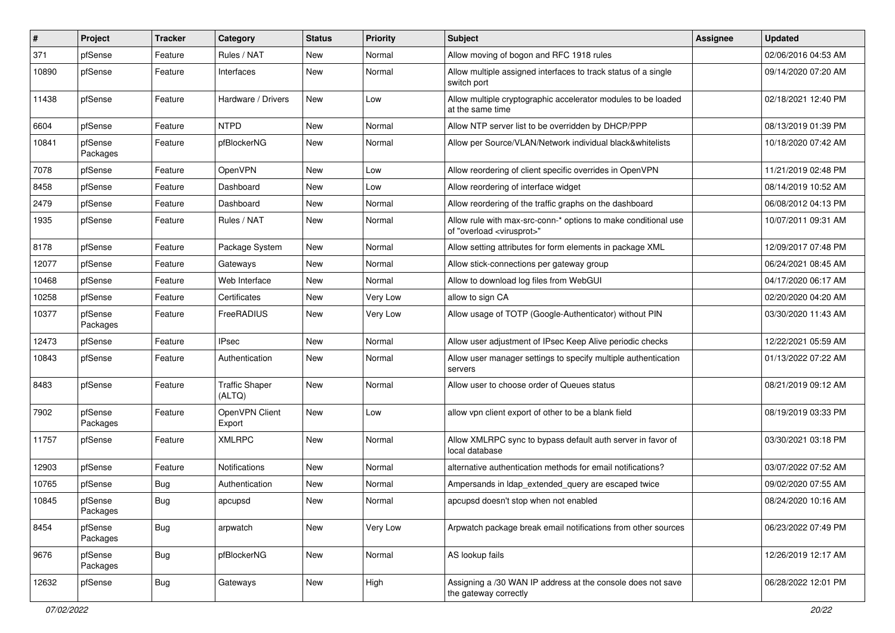| #     | Project             | <b>Tracker</b> | Category                        | <b>Status</b> | Priority | <b>Subject</b>                                                                                          | <b>Assignee</b> | <b>Updated</b>      |
|-------|---------------------|----------------|---------------------------------|---------------|----------|---------------------------------------------------------------------------------------------------------|-----------------|---------------------|
| 371   | pfSense             | Feature        | Rules / NAT                     | New           | Normal   | Allow moving of bogon and RFC 1918 rules                                                                |                 | 02/06/2016 04:53 AM |
| 10890 | pfSense             | Feature        | Interfaces                      | New           | Normal   | Allow multiple assigned interfaces to track status of a single<br>switch port                           |                 | 09/14/2020 07:20 AM |
| 11438 | pfSense             | Feature        | Hardware / Drivers              | New           | Low      | Allow multiple cryptographic accelerator modules to be loaded<br>at the same time                       |                 | 02/18/2021 12:40 PM |
| 6604  | pfSense             | Feature        | <b>NTPD</b>                     | New           | Normal   | Allow NTP server list to be overridden by DHCP/PPP                                                      |                 | 08/13/2019 01:39 PM |
| 10841 | pfSense<br>Packages | Feature        | pfBlockerNG                     | New           | Normal   | Allow per Source/VLAN/Network individual black&whitelists                                               |                 | 10/18/2020 07:42 AM |
| 7078  | pfSense             | Feature        | OpenVPN                         | New           | Low      | Allow reordering of client specific overrides in OpenVPN                                                |                 | 11/21/2019 02:48 PM |
| 8458  | pfSense             | Feature        | Dashboard                       | New           | Low      | Allow reordering of interface widget                                                                    |                 | 08/14/2019 10:52 AM |
| 2479  | pfSense             | Feature        | Dashboard                       | New           | Normal   | Allow reordering of the traffic graphs on the dashboard                                                 |                 | 06/08/2012 04:13 PM |
| 1935  | pfSense             | Feature        | Rules / NAT                     | New           | Normal   | Allow rule with max-src-conn-* options to make conditional use<br>of "overload <virusprot>"</virusprot> |                 | 10/07/2011 09:31 AM |
| 8178  | pfSense             | Feature        | Package System                  | New           | Normal   | Allow setting attributes for form elements in package XML                                               |                 | 12/09/2017 07:48 PM |
| 12077 | pfSense             | Feature        | Gateways                        | New           | Normal   | Allow stick-connections per gateway group                                                               |                 | 06/24/2021 08:45 AM |
| 10468 | pfSense             | Feature        | Web Interface                   | New           | Normal   | Allow to download log files from WebGUI                                                                 |                 | 04/17/2020 06:17 AM |
| 10258 | pfSense             | Feature        | Certificates                    | New           | Very Low | allow to sign CA                                                                                        |                 | 02/20/2020 04:20 AM |
| 10377 | pfSense<br>Packages | Feature        | FreeRADIUS                      | New           | Very Low | Allow usage of TOTP (Google-Authenticator) without PIN                                                  |                 | 03/30/2020 11:43 AM |
| 12473 | pfSense             | Feature        | <b>IPsec</b>                    | New           | Normal   | Allow user adjustment of IPsec Keep Alive periodic checks                                               |                 | 12/22/2021 05:59 AM |
| 10843 | pfSense             | Feature        | Authentication                  | New           | Normal   | Allow user manager settings to specify multiple authentication<br>servers                               |                 | 01/13/2022 07:22 AM |
| 8483  | pfSense             | Feature        | <b>Traffic Shaper</b><br>(ALTQ) | New           | Normal   | Allow user to choose order of Queues status                                                             |                 | 08/21/2019 09:12 AM |
| 7902  | pfSense<br>Packages | Feature        | OpenVPN Client<br>Export        | New           | Low      | allow vpn client export of other to be a blank field                                                    |                 | 08/19/2019 03:33 PM |
| 11757 | pfSense             | Feature        | <b>XMLRPC</b>                   | New           | Normal   | Allow XMLRPC sync to bypass default auth server in favor of<br>local database                           |                 | 03/30/2021 03:18 PM |
| 12903 | pfSense             | Feature        | <b>Notifications</b>            | New           | Normal   | alternative authentication methods for email notifications?                                             |                 | 03/07/2022 07:52 AM |
| 10765 | pfSense             | <b>Bug</b>     | Authentication                  | New           | Normal   | Ampersands in Idap extended query are escaped twice                                                     |                 | 09/02/2020 07:55 AM |
| 10845 | pfSense<br>Packages | Bug            | apcupsd                         | New           | Normal   | apcupsd doesn't stop when not enabled                                                                   |                 | 08/24/2020 10:16 AM |
| 8454  | pfSense<br>Packages | <b>Bug</b>     | arpwatch                        | New           | Very Low | Arpwatch package break email notifications from other sources                                           |                 | 06/23/2022 07:49 PM |
| 9676  | pfSense<br>Packages | Bug            | pfBlockerNG                     | New           | Normal   | AS lookup fails                                                                                         |                 | 12/26/2019 12:17 AM |
| 12632 | pfSense             | <b>Bug</b>     | Gateways                        | New           | High     | Assigning a /30 WAN IP address at the console does not save<br>the gateway correctly                    |                 | 06/28/2022 12:01 PM |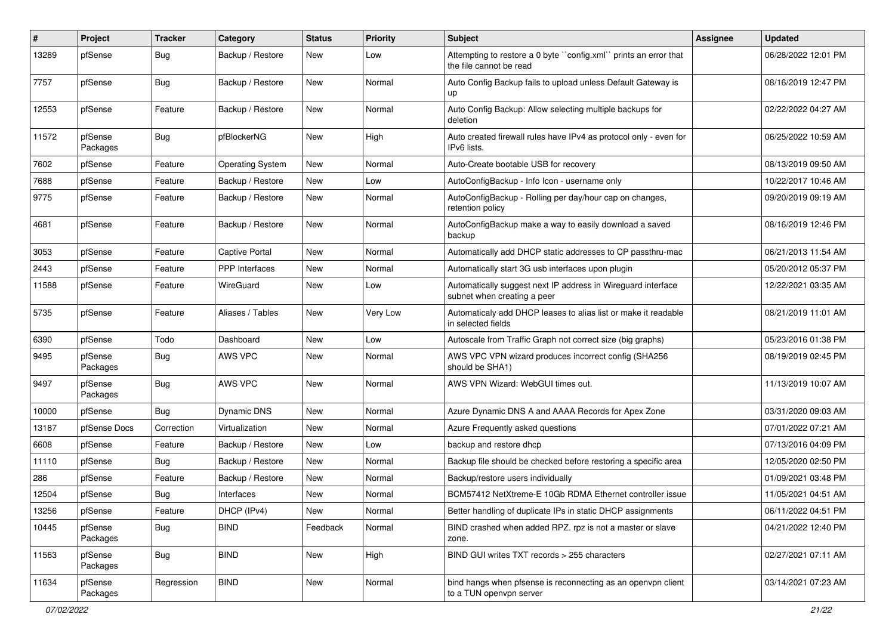| #     | Project             | <b>Tracker</b> | Category                | <b>Status</b> | <b>Priority</b> | Subject                                                                                     | Assignee | <b>Updated</b>      |
|-------|---------------------|----------------|-------------------------|---------------|-----------------|---------------------------------------------------------------------------------------------|----------|---------------------|
| 13289 | pfSense             | Bug            | Backup / Restore        | New           | Low             | Attempting to restore a 0 byte "config.xml" prints an error that<br>the file cannot be read |          | 06/28/2022 12:01 PM |
| 7757  | pfSense             | Bug            | Backup / Restore        | New           | Normal          | Auto Config Backup fails to upload unless Default Gateway is<br>up                          |          | 08/16/2019 12:47 PM |
| 12553 | pfSense             | Feature        | Backup / Restore        | New           | Normal          | Auto Config Backup: Allow selecting multiple backups for<br>deletion                        |          | 02/22/2022 04:27 AM |
| 11572 | pfSense<br>Packages | Bug            | pfBlockerNG             | New           | High            | Auto created firewall rules have IPv4 as protocol only - even for<br>IPv6 lists.            |          | 06/25/2022 10:59 AM |
| 7602  | pfSense             | Feature        | <b>Operating System</b> | New           | Normal          | Auto-Create bootable USB for recovery                                                       |          | 08/13/2019 09:50 AM |
| 7688  | pfSense             | Feature        | Backup / Restore        | New           | Low             | AutoConfigBackup - Info Icon - username only                                                |          | 10/22/2017 10:46 AM |
| 9775  | pfSense             | Feature        | Backup / Restore        | New           | Normal          | AutoConfigBackup - Rolling per day/hour cap on changes,<br>retention policy                 |          | 09/20/2019 09:19 AM |
| 4681  | pfSense             | Feature        | Backup / Restore        | New           | Normal          | AutoConfigBackup make a way to easily download a saved<br>backup                            |          | 08/16/2019 12:46 PM |
| 3053  | pfSense             | Feature        | <b>Captive Portal</b>   | New           | Normal          | Automatically add DHCP static addresses to CP passthru-mac                                  |          | 06/21/2013 11:54 AM |
| 2443  | pfSense             | Feature        | PPP Interfaces          | New           | Normal          | Automatically start 3G usb interfaces upon plugin                                           |          | 05/20/2012 05:37 PM |
| 11588 | pfSense             | Feature        | WireGuard               | New           | Low             | Automatically suggest next IP address in Wireguard interface<br>subnet when creating a peer |          | 12/22/2021 03:35 AM |
| 5735  | pfSense             | Feature        | Aliases / Tables        | New           | Very Low        | Automaticaly add DHCP leases to alias list or make it readable<br>in selected fields        |          | 08/21/2019 11:01 AM |
| 6390  | pfSense             | Todo           | Dashboard               | New           | Low             | Autoscale from Traffic Graph not correct size (big graphs)                                  |          | 05/23/2016 01:38 PM |
| 9495  | pfSense<br>Packages | Bug            | AWS VPC                 | New           | Normal          | AWS VPC VPN wizard produces incorrect config (SHA256<br>should be SHA1)                     |          | 08/19/2019 02:45 PM |
| 9497  | pfSense<br>Packages | <b>Bug</b>     | AWS VPC                 | New           | Normal          | AWS VPN Wizard: WebGUI times out.                                                           |          | 11/13/2019 10:07 AM |
| 10000 | pfSense             | <b>Bug</b>     | <b>Dynamic DNS</b>      | New           | Normal          | Azure Dynamic DNS A and AAAA Records for Apex Zone                                          |          | 03/31/2020 09:03 AM |
| 13187 | pfSense Docs        | Correction     | Virtualization          | <b>New</b>    | Normal          | Azure Frequently asked questions                                                            |          | 07/01/2022 07:21 AM |
| 6608  | pfSense             | Feature        | Backup / Restore        | New           | Low             | backup and restore dhcp                                                                     |          | 07/13/2016 04:09 PM |
| 11110 | pfSense             | Bug            | Backup / Restore        | <b>New</b>    | Normal          | Backup file should be checked before restoring a specific area                              |          | 12/05/2020 02:50 PM |
| 286   | pfSense             | Feature        | Backup / Restore        | New           | Normal          | Backup/restore users individually                                                           |          | 01/09/2021 03:48 PM |
| 12504 | pfSense             | Bug            | Interfaces              | New           | Normal          | BCM57412 NetXtreme-E 10Gb RDMA Ethernet controller issue                                    |          | 11/05/2021 04:51 AM |
| 13256 | pfSense             | Feature        | DHCP (IPv4)             | New           | Normal          | Better handling of duplicate IPs in static DHCP assignments                                 |          | 06/11/2022 04:51 PM |
| 10445 | pfSense<br>Packages | <b>Bug</b>     | <b>BIND</b>             | Feedback      | Normal          | BIND crashed when added RPZ. rpz is not a master or slave<br>zone.                          |          | 04/21/2022 12:40 PM |
| 11563 | pfSense<br>Packages | Bug            | <b>BIND</b>             | New           | High            | BIND GUI writes TXT records > 255 characters                                                |          | 02/27/2021 07:11 AM |
| 11634 | pfSense<br>Packages | Regression     | <b>BIND</b>             | New           | Normal          | bind hangs when pfsense is reconnecting as an openvpn client<br>to a TUN openvpn server     |          | 03/14/2021 07:23 AM |